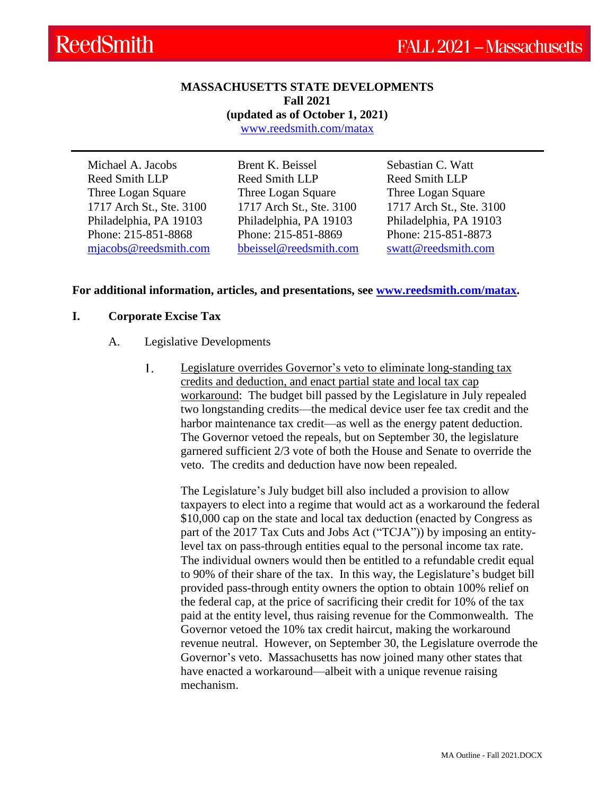### **MASSACHUSETTS STATE DEVELOPMENTS Fall 2021**

**(updated as of October 1, 2021)**

[www.reedsmith.com/matax](https://www.reedsmith.com/en/capabilities/services/tax-private-client-services-and-executive-compensation/state-tax/state-tax-focus-massachusetts)

Michael A. Jacobs Reed Smith LLP Three Logan Square 1717 Arch St., Ste. 3100 Philadelphia, PA 19103 Phone: 215-851-8868 [mjacobs@reedsmith.com](mailto:mjacobs@reedsmith.com) Brent K. Beissel Reed Smith LLP Three Logan Square 1717 Arch St., Ste. 3100 Philadelphia, PA 19103 Phone: 215-851-8869 [bbeissel@reedsmith.com](mailto:bbeissel@reedsmith.com)

Sebastian C. Watt Reed Smith LLP Three Logan Square 1717 Arch St., Ste. 3100 Philadelphia, PA 19103 Phone: 215-851-8873 [swatt@reedsmith.com](mailto:swatt@reedsmith.com)

## **For additional information, articles, and presentations, see [www.reedsmith.com/matax.](https://www.reedsmith.com/en/capabilities/services/tax-private-client-services-and-executive-compensation/state-tax/state-tax-focus-massachusetts)**

## **I. Corporate Excise Tax**

- A. Legislative Developments
	- 1. Legislature overrides Governor's veto to eliminate long-standing tax credits and deduction, and enact partial state and local tax cap workaround: The budget bill passed by the Legislature in July repealed two longstanding credits—the medical device user fee tax credit and the harbor maintenance tax credit—as well as the energy patent deduction. The Governor vetoed the repeals, but on September 30, the legislature garnered sufficient 2/3 vote of both the House and Senate to override the veto. The credits and deduction have now been repealed.

The Legislature's July budget bill also included a provision to allow taxpayers to elect into a regime that would act as a workaround the federal \$10,000 cap on the state and local tax deduction (enacted by Congress as part of the 2017 Tax Cuts and Jobs Act ("TCJA")) by imposing an entitylevel tax on pass-through entities equal to the personal income tax rate. The individual owners would then be entitled to a refundable credit equal to 90% of their share of the tax. In this way, the Legislature's budget bill provided pass-through entity owners the option to obtain 100% relief on the federal cap, at the price of sacrificing their credit for 10% of the tax paid at the entity level, thus raising revenue for the Commonwealth. The Governor vetoed the 10% tax credit haircut, making the workaround revenue neutral. However, on September 30, the Legislature overrode the Governor's veto. Massachusetts has now joined many other states that have enacted a workaround—albeit with a unique revenue raising mechanism.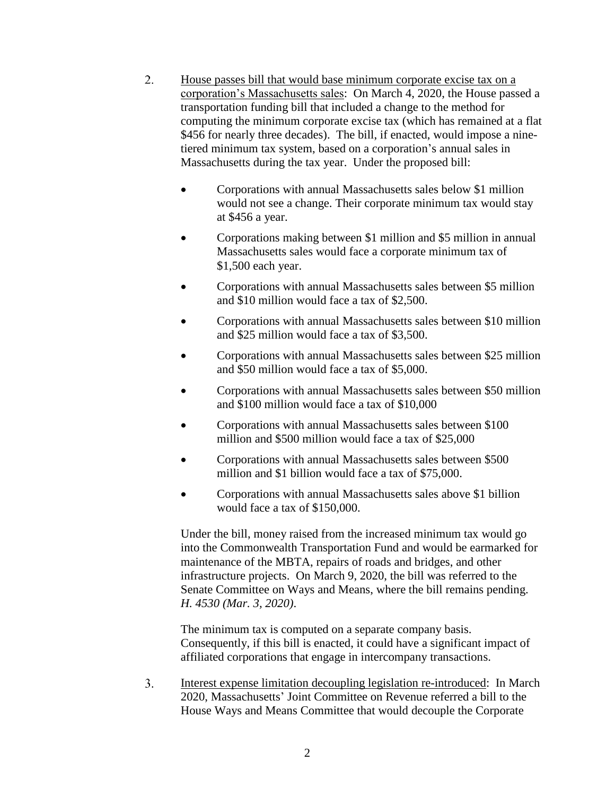- $2.$ House passes bill that would base minimum corporate excise tax on a corporation's Massachusetts sales: On March 4, 2020, the House passed a transportation funding bill that included a change to the method for computing the minimum corporate excise tax (which has remained at a flat \$456 for nearly three decades). The bill, if enacted, would impose a ninetiered minimum tax system, based on a corporation's annual sales in Massachusetts during the tax year. Under the proposed bill:
	- Corporations with annual Massachusetts sales below \$1 million would not see a change. Their corporate minimum tax would stay at \$456 a year.
	- Corporations making between \$1 million and \$5 million in annual Massachusetts sales would face a corporate minimum tax of \$1,500 each year.
	- Corporations with annual Massachusetts sales between \$5 million and \$10 million would face a tax of \$2,500.
	- Corporations with annual Massachusetts sales between \$10 million and \$25 million would face a tax of \$3,500.
	- Corporations with annual Massachusetts sales between \$25 million and \$50 million would face a tax of \$5,000.
	- Corporations with annual Massachusetts sales between \$50 million and \$100 million would face a tax of \$10,000
	- Corporations with annual Massachusetts sales between \$100 million and \$500 million would face a tax of \$25,000
	- Corporations with annual Massachusetts sales between \$500 million and \$1 billion would face a tax of \$75,000.
	- Corporations with annual Massachusetts sales above \$1 billion would face a tax of \$150,000.

Under the bill, money raised from the increased minimum tax would go into the Commonwealth Transportation Fund and would be earmarked for maintenance of the MBTA, repairs of roads and bridges, and other infrastructure projects. On March 9, 2020, the bill was referred to the Senate Committee on Ways and Means, where the bill remains pending. *H. 4530 (Mar. 3, 2020)*.

The minimum tax is computed on a separate company basis. Consequently, if this bill is enacted, it could have a significant impact of affiliated corporations that engage in intercompany transactions.

 $3.$ Interest expense limitation decoupling legislation re-introduced: In March 2020, Massachusetts' Joint Committee on Revenue referred a bill to the House Ways and Means Committee that would decouple the Corporate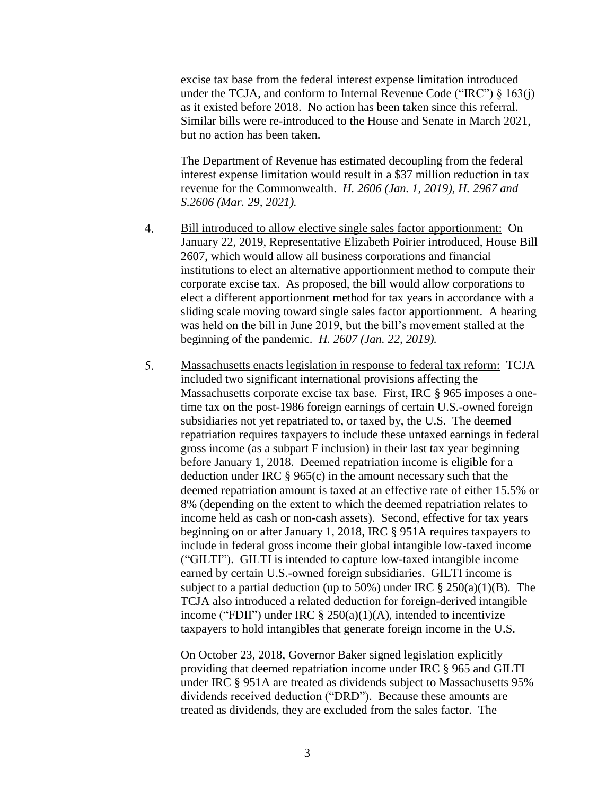excise tax base from the federal interest expense limitation introduced under the TCJA, and conform to Internal Revenue Code ("IRC")  $\S$  163(j) as it existed before 2018. No action has been taken since this referral. Similar bills were re-introduced to the House and Senate in March 2021, but no action has been taken.

The Department of Revenue has estimated decoupling from the federal interest expense limitation would result in a \$37 million reduction in tax revenue for the Commonwealth. *H. 2606 (Jan. 1, 2019), H. 2967 and S.2606 (Mar. 29, 2021).*

- $\overline{4}$ . Bill introduced to allow elective single sales factor apportionment: On January 22, 2019, Representative Elizabeth Poirier introduced, House Bill 2607, which would allow all business corporations and financial institutions to elect an alternative apportionment method to compute their corporate excise tax. As proposed, the bill would allow corporations to elect a different apportionment method for tax years in accordance with a sliding scale moving toward single sales factor apportionment. A hearing was held on the bill in June 2019, but the bill's movement stalled at the beginning of the pandemic. *H. 2607 (Jan. 22, 2019).*
- 5. Massachusetts enacts legislation in response to federal tax reform: TCJA included two significant international provisions affecting the Massachusetts corporate excise tax base. First, IRC § 965 imposes a onetime tax on the post-1986 foreign earnings of certain U.S.-owned foreign subsidiaries not yet repatriated to, or taxed by, the U.S. The deemed repatriation requires taxpayers to include these untaxed earnings in federal gross income (as a subpart F inclusion) in their last tax year beginning before January 1, 2018. Deemed repatriation income is eligible for a deduction under IRC § 965(c) in the amount necessary such that the deemed repatriation amount is taxed at an effective rate of either 15.5% or 8% (depending on the extent to which the deemed repatriation relates to income held as cash or non-cash assets). Second, effective for tax years beginning on or after January 1, 2018, IRC § 951A requires taxpayers to include in federal gross income their global intangible low-taxed income ("GILTI"). GILTI is intended to capture low-taxed intangible income earned by certain U.S.-owned foreign subsidiaries. GILTI income is subject to a partial deduction (up to 50%) under IRC  $\S 250(a)(1)(B)$ . The TCJA also introduced a related deduction for foreign-derived intangible income ("FDII") under IRC  $\S$  250(a)(1)(A), intended to incentivize taxpayers to hold intangibles that generate foreign income in the U.S.

On October 23, 2018, Governor Baker signed legislation explicitly providing that deemed repatriation income under IRC § 965 and GILTI under IRC § 951A are treated as dividends subject to Massachusetts 95% dividends received deduction ("DRD"). Because these amounts are treated as dividends, they are excluded from the sales factor. The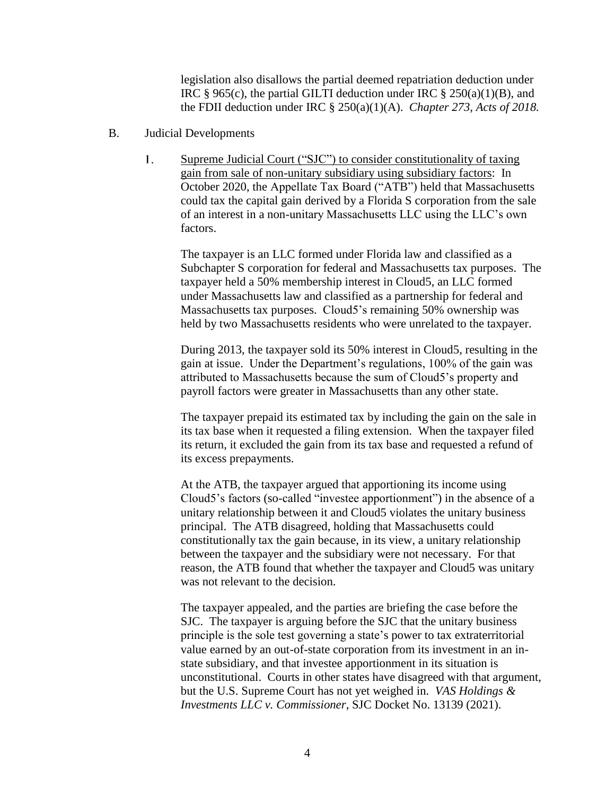legislation also disallows the partial deemed repatriation deduction under IRC § 965(c), the partial GILTI deduction under IRC § 250(a)(1)(B), and the FDII deduction under IRC § 250(a)(1)(A). *Chapter 273, Acts of 2018.*

- B. Judicial Developments
	- $1<sub>1</sub>$ Supreme Judicial Court ("SJC") to consider constitutionality of taxing gain from sale of non-unitary subsidiary using subsidiary factors: In October 2020, the Appellate Tax Board ("ATB") held that Massachusetts could tax the capital gain derived by a Florida S corporation from the sale of an interest in a non-unitary Massachusetts LLC using the LLC's own factors.

The taxpayer is an LLC formed under Florida law and classified as a Subchapter S corporation for federal and Massachusetts tax purposes. The taxpayer held a 50% membership interest in Cloud5, an LLC formed under Massachusetts law and classified as a partnership for federal and Massachusetts tax purposes. Cloud5's remaining 50% ownership was held by two Massachusetts residents who were unrelated to the taxpayer.

During 2013, the taxpayer sold its 50% interest in Cloud5, resulting in the gain at issue. Under the Department's regulations, 100% of the gain was attributed to Massachusetts because the sum of Cloud5's property and payroll factors were greater in Massachusetts than any other state.

The taxpayer prepaid its estimated tax by including the gain on the sale in its tax base when it requested a filing extension. When the taxpayer filed its return, it excluded the gain from its tax base and requested a refund of its excess prepayments.

At the ATB, the taxpayer argued that apportioning its income using Cloud5's factors (so-called "investee apportionment") in the absence of a unitary relationship between it and Cloud5 violates the unitary business principal. The ATB disagreed, holding that Massachusetts could constitutionally tax the gain because, in its view, a unitary relationship between the taxpayer and the subsidiary were not necessary. For that reason, the ATB found that whether the taxpayer and Cloud5 was unitary was not relevant to the decision.

The taxpayer appealed, and the parties are briefing the case before the SJC. The taxpayer is arguing before the SJC that the unitary business principle is the sole test governing a state's power to tax extraterritorial value earned by an out-of-state corporation from its investment in an instate subsidiary, and that investee apportionment in its situation is unconstitutional. Courts in other states have disagreed with that argument, but the U.S. Supreme Court has not yet weighed in. *VAS Holdings & Investments LLC v. Commissioner*, SJC Docket No. 13139 (2021).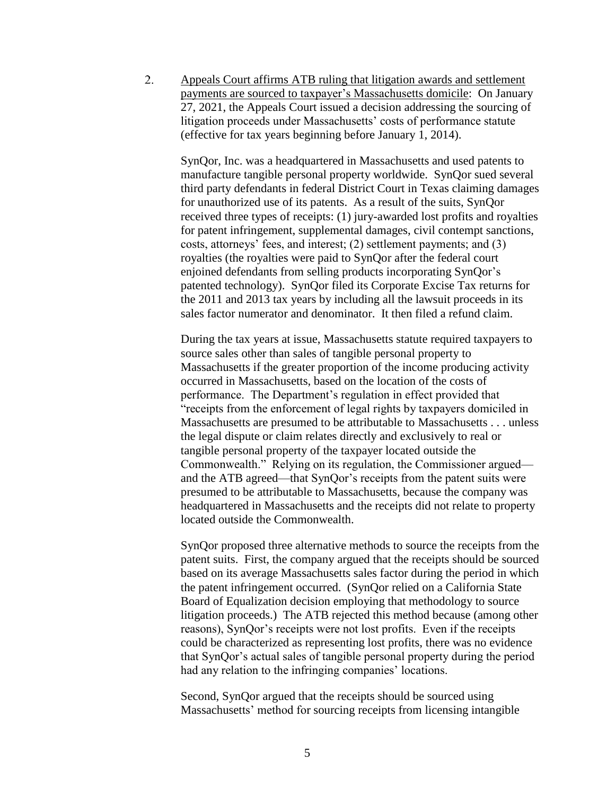$2.$ Appeals Court affirms ATB ruling that litigation awards and settlement payments are sourced to taxpayer's Massachusetts domicile: On January 27, 2021, the Appeals Court issued a decision addressing the sourcing of litigation proceeds under Massachusetts' costs of performance statute (effective for tax years beginning before January 1, 2014).

SynQor, Inc. was a headquartered in Massachusetts and used patents to manufacture tangible personal property worldwide. SynQor sued several third party defendants in federal District Court in Texas claiming damages for unauthorized use of its patents. As a result of the suits, SynQor received three types of receipts: (1) jury-awarded lost profits and royalties for patent infringement, supplemental damages, civil contempt sanctions, costs, attorneys' fees, and interest; (2) settlement payments; and (3) royalties (the royalties were paid to SynQor after the federal court enjoined defendants from selling products incorporating SynQor's patented technology). SynQor filed its Corporate Excise Tax returns for the 2011 and 2013 tax years by including all the lawsuit proceeds in its sales factor numerator and denominator. It then filed a refund claim.

During the tax years at issue, Massachusetts statute required taxpayers to source sales other than sales of tangible personal property to Massachusetts if the greater proportion of the income producing activity occurred in Massachusetts, based on the location of the costs of performance. The Department's regulation in effect provided that "receipts from the enforcement of legal rights by taxpayers domiciled in Massachusetts are presumed to be attributable to Massachusetts . . . unless the legal dispute or claim relates directly and exclusively to real or tangible personal property of the taxpayer located outside the Commonwealth." Relying on its regulation, the Commissioner argued and the ATB agreed—that SynQor's receipts from the patent suits were presumed to be attributable to Massachusetts, because the company was headquartered in Massachusetts and the receipts did not relate to property located outside the Commonwealth.

SynQor proposed three alternative methods to source the receipts from the patent suits. First, the company argued that the receipts should be sourced based on its average Massachusetts sales factor during the period in which the patent infringement occurred. (SynQor relied on a California State Board of Equalization decision employing that methodology to source litigation proceeds.) The ATB rejected this method because (among other reasons), SynQor's receipts were not lost profits. Even if the receipts could be characterized as representing lost profits, there was no evidence that SynQor's actual sales of tangible personal property during the period had any relation to the infringing companies' locations.

Second, SynQor argued that the receipts should be sourced using Massachusetts' method for sourcing receipts from licensing intangible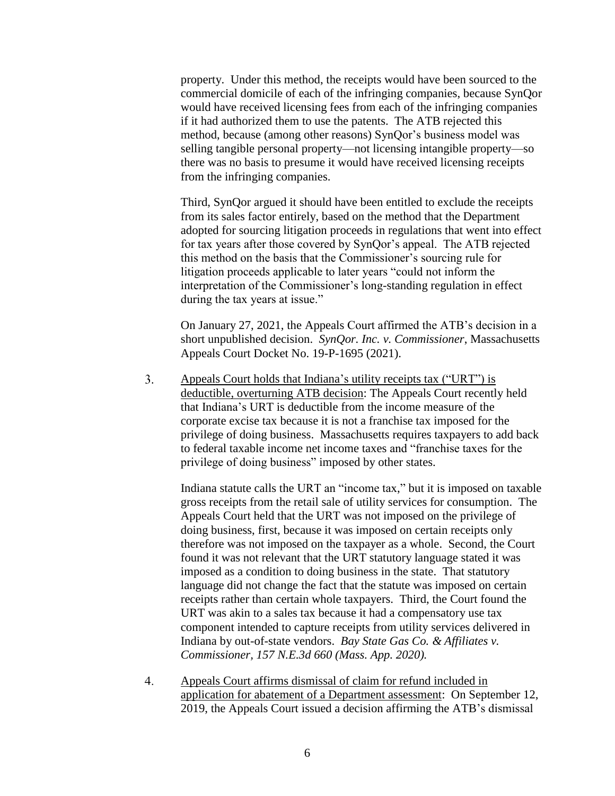property. Under this method, the receipts would have been sourced to the commercial domicile of each of the infringing companies, because SynQor would have received licensing fees from each of the infringing companies if it had authorized them to use the patents. The ATB rejected this method, because (among other reasons) SynQor's business model was selling tangible personal property—not licensing intangible property—so there was no basis to presume it would have received licensing receipts from the infringing companies.

Third, SynQor argued it should have been entitled to exclude the receipts from its sales factor entirely, based on the method that the Department adopted for sourcing litigation proceeds in regulations that went into effect for tax years after those covered by SynQor's appeal. The ATB rejected this method on the basis that the Commissioner's sourcing rule for litigation proceeds applicable to later years "could not inform the interpretation of the Commissioner's long-standing regulation in effect during the tax years at issue."

On January 27, 2021, the Appeals Court affirmed the ATB's decision in a short unpublished decision. *SynQor. Inc. v. Commissioner*, Massachusetts Appeals Court Docket No. 19-P-1695 (2021).

 $3<sub>1</sub>$ Appeals Court holds that Indiana's utility receipts tax ("URT") is deductible, overturning ATB decision: The Appeals Court recently held that Indiana's URT is deductible from the income measure of the corporate excise tax because it is not a franchise tax imposed for the privilege of doing business. Massachusetts requires taxpayers to add back to federal taxable income net income taxes and "franchise taxes for the privilege of doing business" imposed by other states.

Indiana statute calls the URT an "income tax," but it is imposed on taxable gross receipts from the retail sale of utility services for consumption. The Appeals Court held that the URT was not imposed on the privilege of doing business, first, because it was imposed on certain receipts only therefore was not imposed on the taxpayer as a whole. Second, the Court found it was not relevant that the URT statutory language stated it was imposed as a condition to doing business in the state. That statutory language did not change the fact that the statute was imposed on certain receipts rather than certain whole taxpayers. Third, the Court found the URT was akin to a sales tax because it had a compensatory use tax component intended to capture receipts from utility services delivered in Indiana by out-of-state vendors. *Bay State Gas Co. & Affiliates v. Commissioner, 157 N.E.3d 660 (Mass. App. 2020).*

 $4.$ Appeals Court affirms dismissal of claim for refund included in application for abatement of a Department assessment: On September 12, 2019, the Appeals Court issued a decision affirming the ATB's dismissal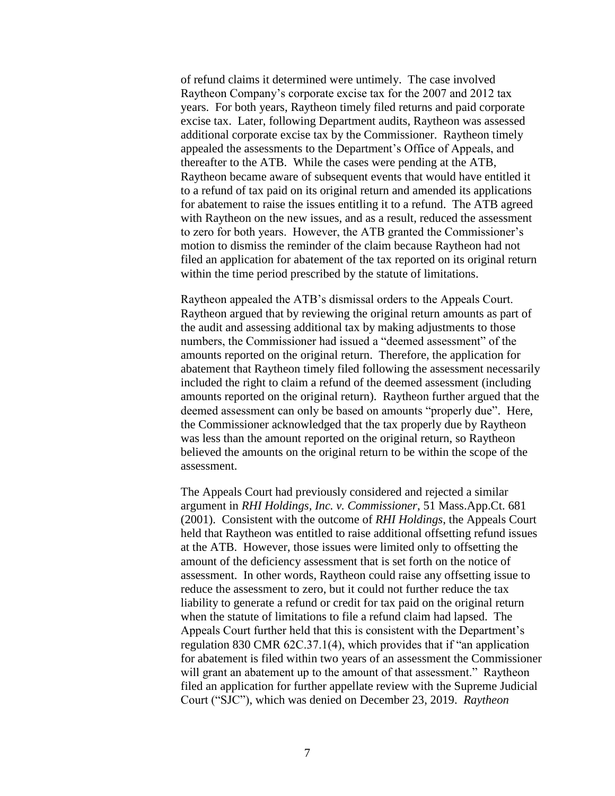of refund claims it determined were untimely. The case involved Raytheon Company's corporate excise tax for the 2007 and 2012 tax years. For both years, Raytheon timely filed returns and paid corporate excise tax. Later, following Department audits, Raytheon was assessed additional corporate excise tax by the Commissioner. Raytheon timely appealed the assessments to the Department's Office of Appeals, and thereafter to the ATB. While the cases were pending at the ATB, Raytheon became aware of subsequent events that would have entitled it to a refund of tax paid on its original return and amended its applications for abatement to raise the issues entitling it to a refund. The ATB agreed with Raytheon on the new issues, and as a result, reduced the assessment to zero for both years. However, the ATB granted the Commissioner's motion to dismiss the reminder of the claim because Raytheon had not filed an application for abatement of the tax reported on its original return within the time period prescribed by the statute of limitations.

Raytheon appealed the ATB's dismissal orders to the Appeals Court. Raytheon argued that by reviewing the original return amounts as part of the audit and assessing additional tax by making adjustments to those numbers, the Commissioner had issued a "deemed assessment" of the amounts reported on the original return. Therefore, the application for abatement that Raytheon timely filed following the assessment necessarily included the right to claim a refund of the deemed assessment (including amounts reported on the original return). Raytheon further argued that the deemed assessment can only be based on amounts "properly due". Here, the Commissioner acknowledged that the tax properly due by Raytheon was less than the amount reported on the original return, so Raytheon believed the amounts on the original return to be within the scope of the assessment.

The Appeals Court had previously considered and rejected a similar argument in *RHI Holdings, Inc. v. Commissioner*, 51 Mass.App.Ct. 681 (2001). Consistent with the outcome of *RHI Holdings*, the Appeals Court held that Raytheon was entitled to raise additional offsetting refund issues at the ATB. However, those issues were limited only to offsetting the amount of the deficiency assessment that is set forth on the notice of assessment. In other words, Raytheon could raise any offsetting issue to reduce the assessment to zero, but it could not further reduce the tax liability to generate a refund or credit for tax paid on the original return when the statute of limitations to file a refund claim had lapsed. The Appeals Court further held that this is consistent with the Department's regulation 830 CMR 62C.37.1(4), which provides that if "an application for abatement is filed within two years of an assessment the Commissioner will grant an abatement up to the amount of that assessment." Raytheon filed an application for further appellate review with the Supreme Judicial Court ("SJC"), which was denied on December 23, 2019. *Raytheon*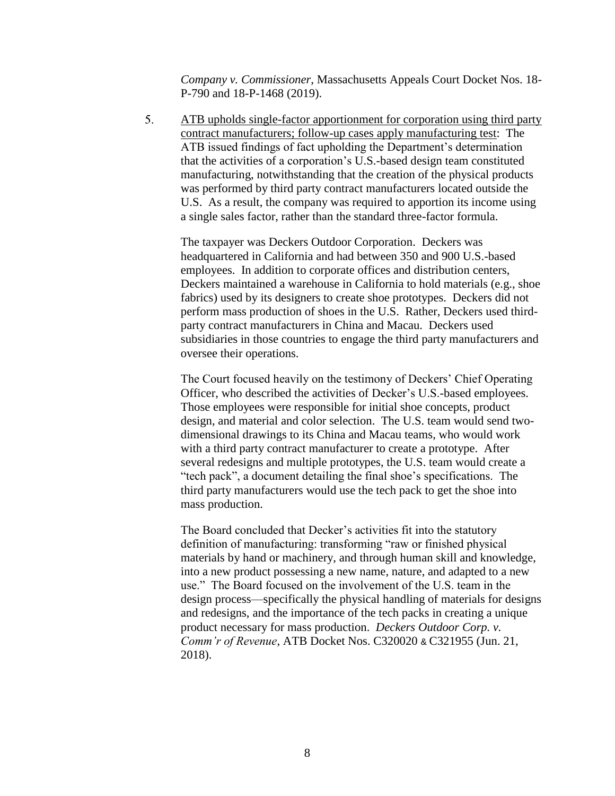*Company v. Commissioner*, Massachusetts Appeals Court Docket Nos. 18- P-790 and 18-P-1468 (2019).

5. ATB upholds single-factor apportionment for corporation using third party contract manufacturers; follow-up cases apply manufacturing test: The ATB issued findings of fact upholding the Department's determination that the activities of a corporation's U.S.-based design team constituted manufacturing, notwithstanding that the creation of the physical products was performed by third party contract manufacturers located outside the U.S. As a result, the company was required to apportion its income using a single sales factor, rather than the standard three-factor formula.

The taxpayer was Deckers Outdoor Corporation. Deckers was headquartered in California and had between 350 and 900 U.S.-based employees. In addition to corporate offices and distribution centers, Deckers maintained a warehouse in California to hold materials (e.g., shoe fabrics) used by its designers to create shoe prototypes. Deckers did not perform mass production of shoes in the U.S. Rather, Deckers used thirdparty contract manufacturers in China and Macau. Deckers used subsidiaries in those countries to engage the third party manufacturers and oversee their operations.

The Court focused heavily on the testimony of Deckers' Chief Operating Officer, who described the activities of Decker's U.S.-based employees. Those employees were responsible for initial shoe concepts, product design, and material and color selection. The U.S. team would send twodimensional drawings to its China and Macau teams, who would work with a third party contract manufacturer to create a prototype. After several redesigns and multiple prototypes, the U.S. team would create a "tech pack", a document detailing the final shoe's specifications. The third party manufacturers would use the tech pack to get the shoe into mass production.

The Board concluded that Decker's activities fit into the statutory definition of manufacturing: transforming "raw or finished physical materials by hand or machinery, and through human skill and knowledge, into a new product possessing a new name, nature, and adapted to a new use." The Board focused on the involvement of the U.S. team in the design process—specifically the physical handling of materials for designs and redesigns, and the importance of the tech packs in creating a unique product necessary for mass production. *Deckers Outdoor Corp. v. Comm'r of Revenue*, ATB Docket Nos. C320020 & C321955 (Jun. 21, 2018).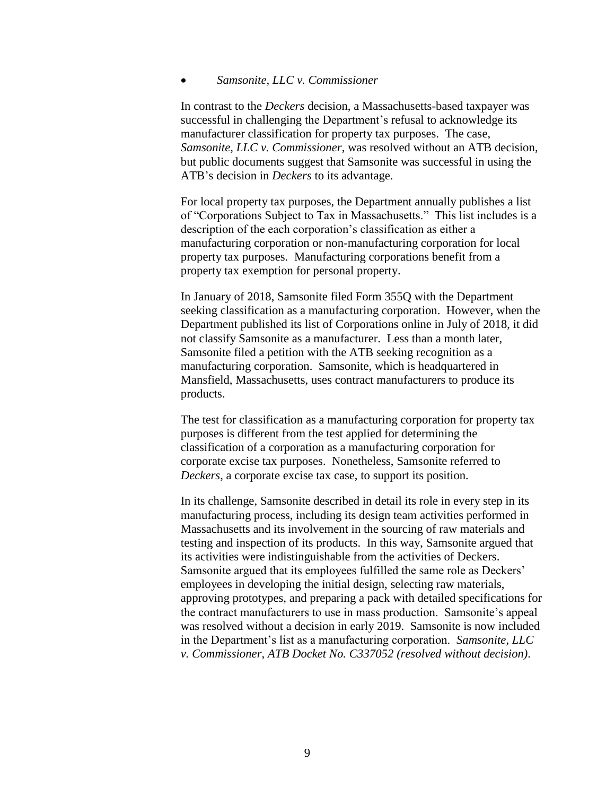#### *Samsonite, LLC v. Commissioner*

In contrast to the *Deckers* decision, a Massachusetts-based taxpayer was successful in challenging the Department's refusal to acknowledge its manufacturer classification for property tax purposes. The case, *Samsonite, LLC v. Commissioner*, was resolved without an ATB decision, but public documents suggest that Samsonite was successful in using the ATB's decision in *Deckers* to its advantage.

For local property tax purposes, the Department annually publishes a list of "Corporations Subject to Tax in Massachusetts." This list includes is a description of the each corporation's classification as either a manufacturing corporation or non-manufacturing corporation for local property tax purposes. Manufacturing corporations benefit from a property tax exemption for personal property.

In January of 2018, Samsonite filed Form 355Q with the Department seeking classification as a manufacturing corporation. However, when the Department published its list of Corporations online in July of 2018, it did not classify Samsonite as a manufacturer. Less than a month later, Samsonite filed a petition with the ATB seeking recognition as a manufacturing corporation. Samsonite, which is headquartered in Mansfield, Massachusetts, uses contract manufacturers to produce its products.

The test for classification as a manufacturing corporation for property tax purposes is different from the test applied for determining the classification of a corporation as a manufacturing corporation for corporate excise tax purposes. Nonetheless, Samsonite referred to *Deckers*, a corporate excise tax case, to support its position.

In its challenge, Samsonite described in detail its role in every step in its manufacturing process, including its design team activities performed in Massachusetts and its involvement in the sourcing of raw materials and testing and inspection of its products. In this way, Samsonite argued that its activities were indistinguishable from the activities of Deckers. Samsonite argued that its employees fulfilled the same role as Deckers' employees in developing the initial design, selecting raw materials, approving prototypes, and preparing a pack with detailed specifications for the contract manufacturers to use in mass production. Samsonite's appeal was resolved without a decision in early 2019. Samsonite is now included in the Department's list as a manufacturing corporation. *Samsonite, LLC v. Commissioner, ATB Docket No. C337052 (resolved without decision)*.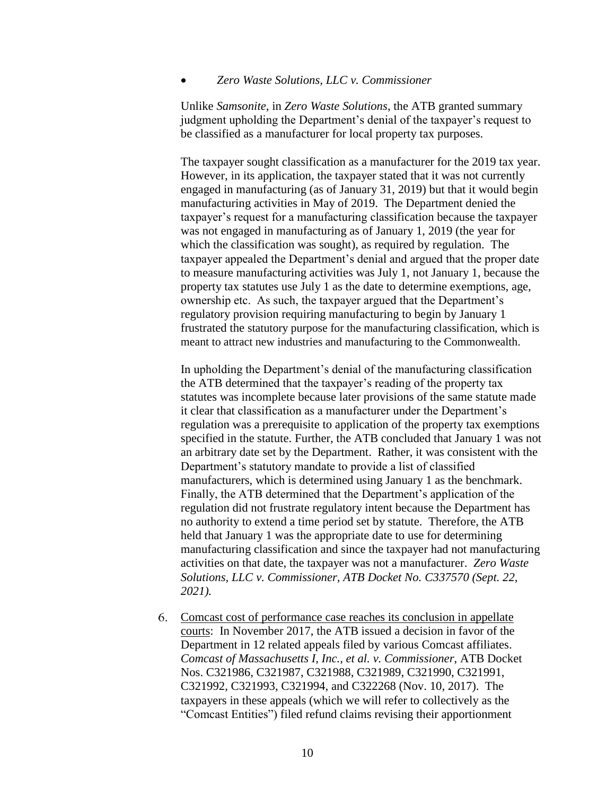### *Zero Waste Solutions, LLC v. Commissioner*

Unlike *Samsonite*, in *Zero Waste Solutions*, the ATB granted summary judgment upholding the Department's denial of the taxpayer's request to be classified as a manufacturer for local property tax purposes.

The taxpayer sought classification as a manufacturer for the 2019 tax year. However, in its application, the taxpayer stated that it was not currently engaged in manufacturing (as of January 31, 2019) but that it would begin manufacturing activities in May of 2019. The Department denied the taxpayer's request for a manufacturing classification because the taxpayer was not engaged in manufacturing as of January 1, 2019 (the year for which the classification was sought), as required by regulation. The taxpayer appealed the Department's denial and argued that the proper date to measure manufacturing activities was July 1, not January 1, because the property tax statutes use July 1 as the date to determine exemptions, age, ownership etc. As such, the taxpayer argued that the Department's regulatory provision requiring manufacturing to begin by January 1 frustrated the statutory purpose for the manufacturing classification, which is meant to attract new industries and manufacturing to the Commonwealth.

In upholding the Department's denial of the manufacturing classification the ATB determined that the taxpayer's reading of the property tax statutes was incomplete because later provisions of the same statute made it clear that classification as a manufacturer under the Department's regulation was a prerequisite to application of the property tax exemptions specified in the statute. Further, the ATB concluded that January 1 was not an arbitrary date set by the Department. Rather, it was consistent with the Department's statutory mandate to provide a list of classified manufacturers, which is determined using January 1 as the benchmark. Finally, the ATB determined that the Department's application of the regulation did not frustrate regulatory intent because the Department has no authority to extend a time period set by statute. Therefore, the ATB held that January 1 was the appropriate date to use for determining manufacturing classification and since the taxpayer had not manufacturing activities on that date, the taxpayer was not a manufacturer. *Zero Waste Solutions, LLC v. Commissioner, ATB Docket No. C337570 (Sept. 22, 2021).*

Comcast cost of performance case reaches its conclusion in appellate courts: In November 2017, the ATB issued a decision in favor of the Department in 12 related appeals filed by various Comcast affiliates. *Comcast of Massachusetts I, Inc., et al. v. Commissioner*, ATB Docket Nos. C321986, C321987, C321988, C321989, C321990, C321991, C321992, C321993, C321994, and C322268 (Nov. 10, 2017). The taxpayers in these appeals (which we will refer to collectively as the "Comcast Entities") filed refund claims revising their apportionment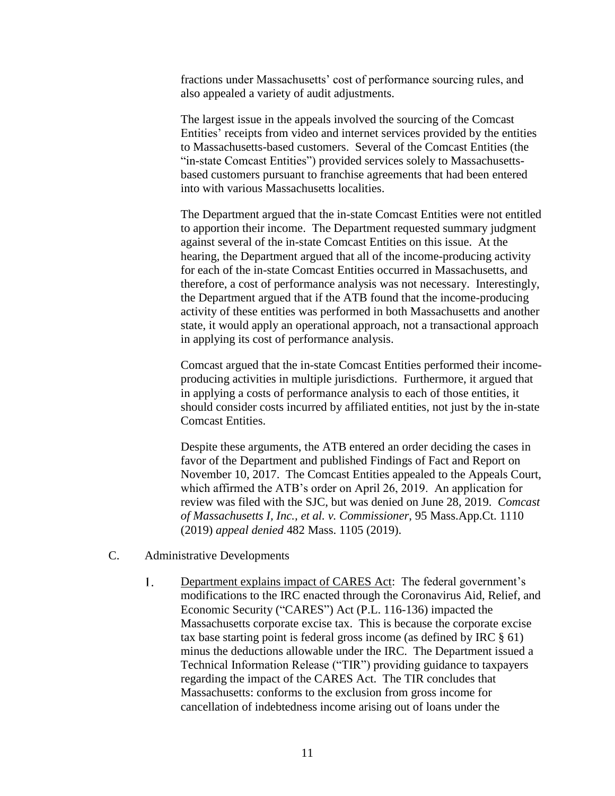fractions under Massachusetts' cost of performance sourcing rules, and also appealed a variety of audit adjustments.

The largest issue in the appeals involved the sourcing of the Comcast Entities' receipts from video and internet services provided by the entities to Massachusetts-based customers. Several of the Comcast Entities (the "in-state Comcast Entities") provided services solely to Massachusettsbased customers pursuant to franchise agreements that had been entered into with various Massachusetts localities.

The Department argued that the in-state Comcast Entities were not entitled to apportion their income. The Department requested summary judgment against several of the in-state Comcast Entities on this issue. At the hearing, the Department argued that all of the income-producing activity for each of the in-state Comcast Entities occurred in Massachusetts, and therefore, a cost of performance analysis was not necessary. Interestingly, the Department argued that if the ATB found that the income-producing activity of these entities was performed in both Massachusetts and another state, it would apply an operational approach, not a transactional approach in applying its cost of performance analysis.

Comcast argued that the in-state Comcast Entities performed their incomeproducing activities in multiple jurisdictions. Furthermore, it argued that in applying a costs of performance analysis to each of those entities, it should consider costs incurred by affiliated entities, not just by the in-state Comcast Entities.

Despite these arguments, the ATB entered an order deciding the cases in favor of the Department and published Findings of Fact and Report on November 10, 2017. The Comcast Entities appealed to the Appeals Court, which affirmed the ATB's order on April 26, 2019. An application for review was filed with the SJC, but was denied on June 28, 2019. *Comcast of Massachusetts I, Inc., et al. v. Commissioner*, 95 Mass.App.Ct. 1110 (2019) *appeal denied* 482 Mass. 1105 (2019).

- C. Administrative Developments
	- $1<sub>1</sub>$ Department explains impact of CARES Act: The federal government's modifications to the IRC enacted through the Coronavirus Aid, Relief, and Economic Security ("CARES") Act (P.L. 116-136) impacted the Massachusetts corporate excise tax. This is because the corporate excise tax base starting point is federal gross income (as defined by IRC § 61) minus the deductions allowable under the IRC. The Department issued a Technical Information Release ("TIR") providing guidance to taxpayers regarding the impact of the CARES Act. The TIR concludes that Massachusetts: conforms to the exclusion from gross income for cancellation of indebtedness income arising out of loans under the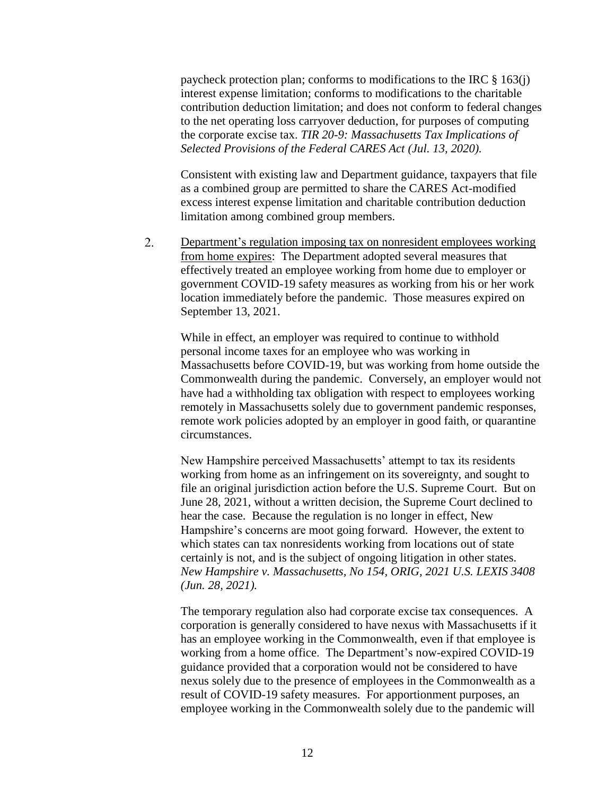paycheck protection plan; conforms to modifications to the IRC § 163(j) interest expense limitation; conforms to modifications to the charitable contribution deduction limitation; and does not conform to federal changes to the net operating loss carryover deduction, for purposes of computing the corporate excise tax. *TIR 20-9: Massachusetts Tax Implications of Selected Provisions of the Federal CARES Act (Jul. 13, 2020).*

Consistent with existing law and Department guidance, taxpayers that file as a combined group are permitted to share the CARES Act-modified excess interest expense limitation and charitable contribution deduction limitation among combined group members.

 $2.$ Department's regulation imposing tax on nonresident employees working from home expires: The Department adopted several measures that effectively treated an employee working from home due to employer or government COVID-19 safety measures as working from his or her work location immediately before the pandemic. Those measures expired on September 13, 2021.

While in effect, an employer was required to continue to withhold personal income taxes for an employee who was working in Massachusetts before COVID-19, but was working from home outside the Commonwealth during the pandemic. Conversely, an employer would not have had a withholding tax obligation with respect to employees working remotely in Massachusetts solely due to government pandemic responses, remote work policies adopted by an employer in good faith, or quarantine circumstances.

New Hampshire perceived Massachusetts' attempt to tax its residents working from home as an infringement on its sovereignty, and sought to file an original jurisdiction action before the U.S. Supreme Court. But on June 28, 2021, without a written decision, the Supreme Court declined to hear the case. Because the regulation is no longer in effect, New Hampshire's concerns are moot going forward. However, the extent to which states can tax nonresidents working from locations out of state certainly is not, and is the subject of ongoing litigation in other states. *New Hampshire v. Massachusetts, No 154, ORIG, 2021 U.S. LEXIS 3408 (Jun. 28, 2021).*

The temporary regulation also had corporate excise tax consequences. A corporation is generally considered to have nexus with Massachusetts if it has an employee working in the Commonwealth, even if that employee is working from a home office. The Department's now-expired COVID-19 guidance provided that a corporation would not be considered to have nexus solely due to the presence of employees in the Commonwealth as a result of COVID-19 safety measures. For apportionment purposes, an employee working in the Commonwealth solely due to the pandemic will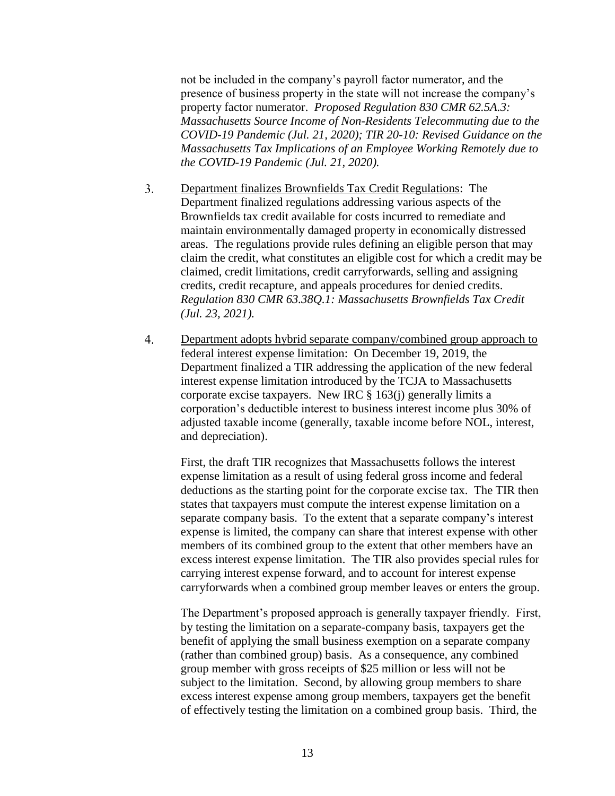not be included in the company's payroll factor numerator, and the presence of business property in the state will not increase the company's property factor numerator. *Proposed Regulation 830 CMR 62.5A.3: Massachusetts Source Income of Non-Residents Telecommuting due to the COVID-19 Pandemic (Jul. 21, 2020); TIR 20-10: Revised Guidance on the Massachusetts Tax Implications of an Employee Working Remotely due to the COVID-19 Pandemic (Jul. 21, 2020).*

- $3.$ Department finalizes Brownfields Tax Credit Regulations: The Department finalized regulations addressing various aspects of the Brownfields tax credit available for costs incurred to remediate and maintain environmentally damaged property in economically distressed areas. The regulations provide rules defining an eligible person that may claim the credit, what constitutes an eligible cost for which a credit may be claimed, credit limitations, credit carryforwards, selling and assigning credits, credit recapture, and appeals procedures for denied credits. *Regulation 830 CMR 63.38Q.1: Massachusetts Brownfields Tax Credit (Jul. 23, 2021).*
- Department adopts hybrid separate company/combined group approach to  $4.$ federal interest expense limitation: On December 19, 2019, the Department finalized a TIR addressing the application of the new federal interest expense limitation introduced by the TCJA to Massachusetts corporate excise taxpayers. New IRC § 163(j) generally limits a corporation's deductible interest to business interest income plus 30% of adjusted taxable income (generally, taxable income before NOL, interest, and depreciation).

First, the draft TIR recognizes that Massachusetts follows the interest expense limitation as a result of using federal gross income and federal deductions as the starting point for the corporate excise tax. The TIR then states that taxpayers must compute the interest expense limitation on a separate company basis. To the extent that a separate company's interest expense is limited, the company can share that interest expense with other members of its combined group to the extent that other members have an excess interest expense limitation. The TIR also provides special rules for carrying interest expense forward, and to account for interest expense carryforwards when a combined group member leaves or enters the group.

The Department's proposed approach is generally taxpayer friendly. First, by testing the limitation on a separate-company basis, taxpayers get the benefit of applying the small business exemption on a separate company (rather than combined group) basis. As a consequence, any combined group member with gross receipts of \$25 million or less will not be subject to the limitation. Second, by allowing group members to share excess interest expense among group members, taxpayers get the benefit of effectively testing the limitation on a combined group basis. Third, the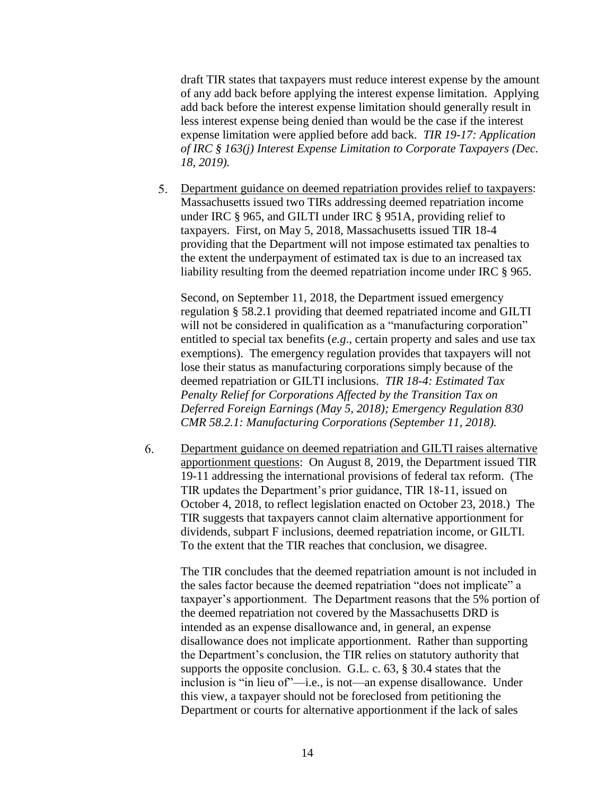draft TIR states that taxpayers must reduce interest expense by the amount of any add back before applying the interest expense limitation. Applying add back before the interest expense limitation should generally result in less interest expense being denied than would be the case if the interest expense limitation were applied before add back. *TIR 19-17: Application of IRC § 163(j) Interest Expense Limitation to Corporate Taxpayers (Dec. 18, 2019).*

Department guidance on deemed repatriation provides relief to taxpayers: Massachusetts issued two TIRs addressing deemed repatriation income under IRC § 965, and GILTI under IRC § 951A, providing relief to taxpayers. First, on May 5, 2018, Massachusetts issued TIR 18-4 providing that the Department will not impose estimated tax penalties to the extent the underpayment of estimated tax is due to an increased tax liability resulting from the deemed repatriation income under IRC § 965.

Second, on September 11, 2018, the Department issued emergency regulation § 58.2.1 providing that deemed repatriated income and GILTI will not be considered in qualification as a "manufacturing corporation" entitled to special tax benefits (*e.g*., certain property and sales and use tax exemptions). The emergency regulation provides that taxpayers will not lose their status as manufacturing corporations simply because of the deemed repatriation or GILTI inclusions. *TIR 18-4: Estimated Tax Penalty Relief for Corporations Affected by the Transition Tax on Deferred Foreign Earnings (May 5, 2018); Emergency Regulation 830 CMR 58.2.1: Manufacturing Corporations (September 11, 2018).*

6. Department guidance on deemed repatriation and GILTI raises alternative apportionment questions: On August 8, 2019, the Department issued TIR 19-11 addressing the international provisions of federal tax reform. (The TIR updates the Department's prior guidance, TIR 18-11, issued on October 4, 2018, to reflect legislation enacted on October 23, 2018.) The TIR suggests that taxpayers cannot claim alternative apportionment for dividends, subpart F inclusions, deemed repatriation income, or GILTI. To the extent that the TIR reaches that conclusion, we disagree.

The TIR concludes that the deemed repatriation amount is not included in the sales factor because the deemed repatriation "does not implicate" a taxpayer's apportionment. The Department reasons that the 5% portion of the deemed repatriation not covered by the Massachusetts DRD is intended as an expense disallowance and, in general, an expense disallowance does not implicate apportionment. Rather than supporting the Department's conclusion, the TIR relies on statutory authority that supports the opposite conclusion. G.L. c. 63, § 30.4 states that the inclusion is "in lieu of"—i.e., is not—an expense disallowance. Under this view, a taxpayer should not be foreclosed from petitioning the Department or courts for alternative apportionment if the lack of sales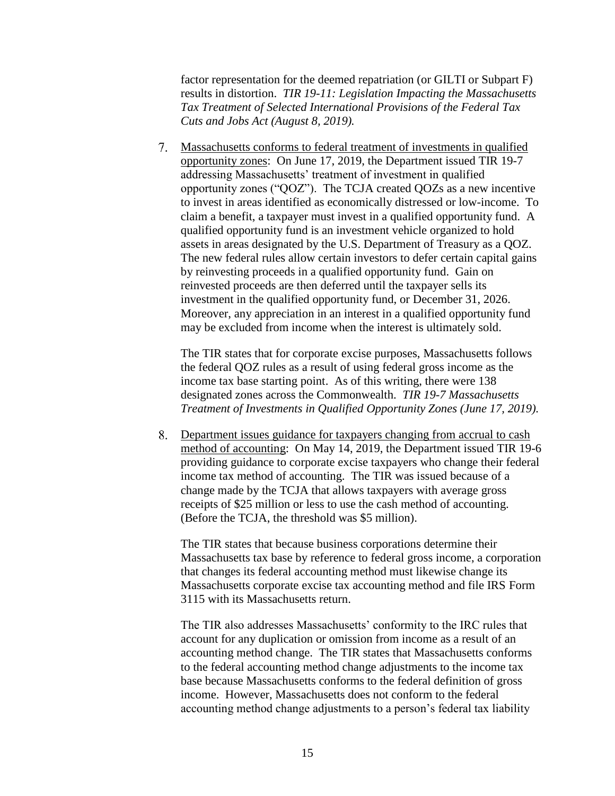factor representation for the deemed repatriation (or GILTI or Subpart F) results in distortion. *TIR 19-11: Legislation Impacting the Massachusetts Tax Treatment of Selected International Provisions of the Federal Tax Cuts and Jobs Act (August 8, 2019).*

Massachusetts conforms to federal treatment of investments in qualified opportunity zones: On June 17, 2019, the Department issued TIR 19-7 addressing Massachusetts' treatment of investment in qualified opportunity zones ("QOZ"). The TCJA created QOZs as a new incentive to invest in areas identified as economically distressed or low-income. To claim a benefit, a taxpayer must invest in a qualified opportunity fund. A qualified opportunity fund is an investment vehicle organized to hold assets in areas designated by the U.S. Department of Treasury as a QOZ. The new federal rules allow certain investors to defer certain capital gains by reinvesting proceeds in a qualified opportunity fund. Gain on reinvested proceeds are then deferred until the taxpayer sells its investment in the qualified opportunity fund, or December 31, 2026. Moreover, any appreciation in an interest in a qualified opportunity fund may be excluded from income when the interest is ultimately sold.

The TIR states that for corporate excise purposes, Massachusetts follows the federal QOZ rules as a result of using federal gross income as the income tax base starting point. As of this writing, there were 138 designated zones across the Commonwealth. *TIR 19-7 Massachusetts Treatment of Investments in Qualified Opportunity Zones (June 17, 2019).*

Department issues guidance for taxpayers changing from accrual to cash method of accounting: On May 14, 2019, the Department issued TIR 19-6 providing guidance to corporate excise taxpayers who change their federal income tax method of accounting. The TIR was issued because of a change made by the TCJA that allows taxpayers with average gross receipts of \$25 million or less to use the cash method of accounting. (Before the TCJA, the threshold was \$5 million).

The TIR states that because business corporations determine their Massachusetts tax base by reference to federal gross income, a corporation that changes its federal accounting method must likewise change its Massachusetts corporate excise tax accounting method and file IRS Form 3115 with its Massachusetts return.

The TIR also addresses Massachusetts' conformity to the IRC rules that account for any duplication or omission from income as a result of an accounting method change. The TIR states that Massachusetts conforms to the federal accounting method change adjustments to the income tax base because Massachusetts conforms to the federal definition of gross income. However, Massachusetts does not conform to the federal accounting method change adjustments to a person's federal tax liability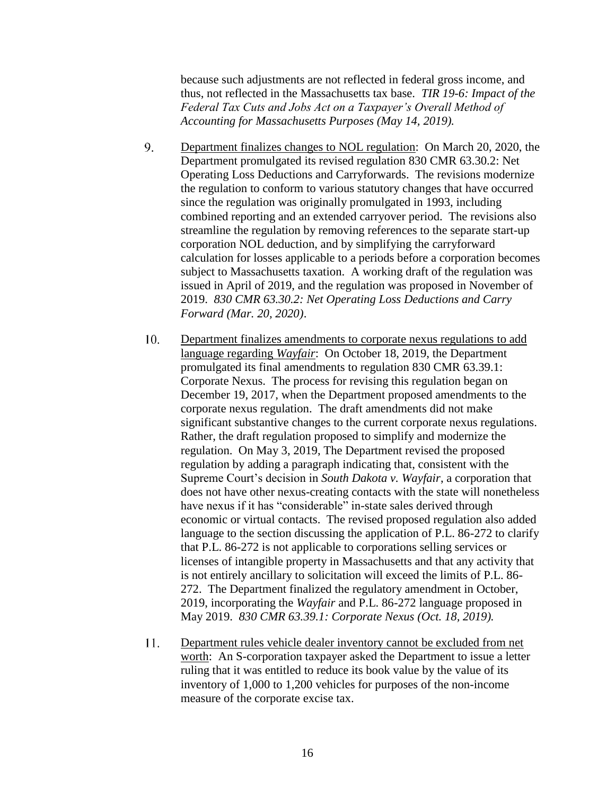because such adjustments are not reflected in federal gross income, and thus, not reflected in the Massachusetts tax base. *TIR 19-6: Impact of the Federal Tax Cuts and Jobs Act on a Taxpayer's Overall Method of Accounting for Massachusetts Purposes (May 14, 2019).*

- 9. Department finalizes changes to NOL regulation: On March 20, 2020, the Department promulgated its revised regulation 830 CMR 63.30.2: Net Operating Loss Deductions and Carryforwards. The revisions modernize the regulation to conform to various statutory changes that have occurred since the regulation was originally promulgated in 1993, including combined reporting and an extended carryover period. The revisions also streamline the regulation by removing references to the separate start-up corporation NOL deduction, and by simplifying the carryforward calculation for losses applicable to a periods before a corporation becomes subject to Massachusetts taxation. A working draft of the regulation was issued in April of 2019, and the regulation was proposed in November of 2019. *830 CMR 63.30.2: Net Operating Loss Deductions and Carry Forward (Mar. 20, 2020)*.
- $10<sub>l</sub>$ Department finalizes amendments to corporate nexus regulations to add language regarding *Wayfair*: On October 18, 2019, the Department promulgated its final amendments to regulation 830 CMR 63.39.1: Corporate Nexus. The process for revising this regulation began on December 19, 2017, when the Department proposed amendments to the corporate nexus regulation. The draft amendments did not make significant substantive changes to the current corporate nexus regulations. Rather, the draft regulation proposed to simplify and modernize the regulation. On May 3, 2019, The Department revised the proposed regulation by adding a paragraph indicating that, consistent with the Supreme Court's decision in *South Dakota v. Wayfair*, a corporation that does not have other nexus-creating contacts with the state will nonetheless have nexus if it has "considerable" in-state sales derived through economic or virtual contacts. The revised proposed regulation also added language to the section discussing the application of P.L. 86-272 to clarify that P.L. 86-272 is not applicable to corporations selling services or licenses of intangible property in Massachusetts and that any activity that is not entirely ancillary to solicitation will exceed the limits of P.L. 86- 272. The Department finalized the regulatory amendment in October, 2019, incorporating the *Wayfair* and P.L. 86-272 language proposed in May 2019. *830 CMR 63.39.1: Corporate Nexus (Oct. 18, 2019).*
- $11.$ Department rules vehicle dealer inventory cannot be excluded from net worth: An S-corporation taxpayer asked the Department to issue a letter ruling that it was entitled to reduce its book value by the value of its inventory of 1,000 to 1,200 vehicles for purposes of the non-income measure of the corporate excise tax.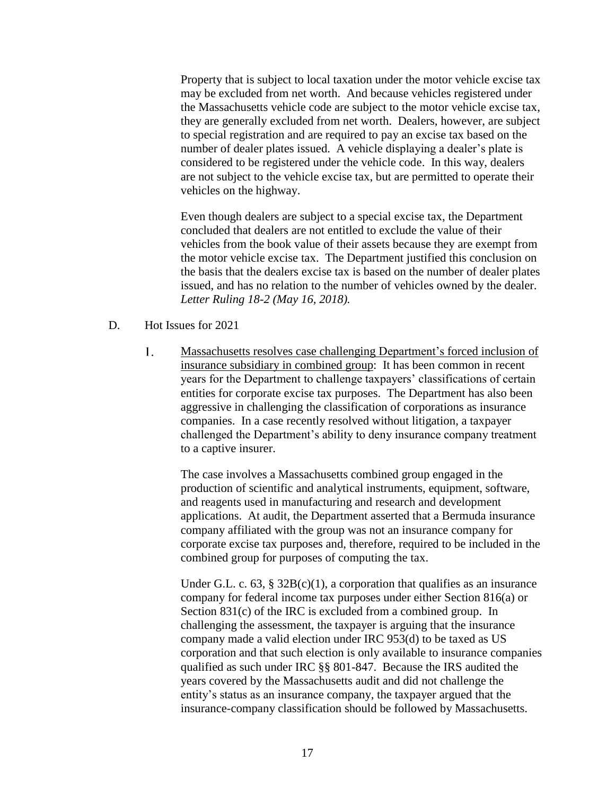Property that is subject to local taxation under the motor vehicle excise tax may be excluded from net worth. And because vehicles registered under the Massachusetts vehicle code are subject to the motor vehicle excise tax, they are generally excluded from net worth. Dealers, however, are subject to special registration and are required to pay an excise tax based on the number of dealer plates issued. A vehicle displaying a dealer's plate is considered to be registered under the vehicle code. In this way, dealers are not subject to the vehicle excise tax, but are permitted to operate their vehicles on the highway.

Even though dealers are subject to a special excise tax, the Department concluded that dealers are not entitled to exclude the value of their vehicles from the book value of their assets because they are exempt from the motor vehicle excise tax. The Department justified this conclusion on the basis that the dealers excise tax is based on the number of dealer plates issued, and has no relation to the number of vehicles owned by the dealer. *Letter Ruling 18-2 (May 16, 2018).*

- D. Hot Issues for 2021
	- 1. Massachusetts resolves case challenging Department's forced inclusion of insurance subsidiary in combined group: It has been common in recent years for the Department to challenge taxpayers' classifications of certain entities for corporate excise tax purposes. The Department has also been aggressive in challenging the classification of corporations as insurance companies. In a case recently resolved without litigation, a taxpayer challenged the Department's ability to deny insurance company treatment to a captive insurer.

The case involves a Massachusetts combined group engaged in the production of scientific and analytical instruments, equipment, software, and reagents used in manufacturing and research and development applications. At audit, the Department asserted that a Bermuda insurance company affiliated with the group was not an insurance company for corporate excise tax purposes and, therefore, required to be included in the combined group for purposes of computing the tax.

Under G.L. c. 63, §  $32B(c)(1)$ , a corporation that qualifies as an insurance company for federal income tax purposes under either Section 816(a) or Section 831(c) of the IRC is excluded from a combined group. In challenging the assessment, the taxpayer is arguing that the insurance company made a valid election under IRC 953(d) to be taxed as US corporation and that such election is only available to insurance companies qualified as such under IRC §§ 801-847. Because the IRS audited the years covered by the Massachusetts audit and did not challenge the entity's status as an insurance company, the taxpayer argued that the insurance-company classification should be followed by Massachusetts.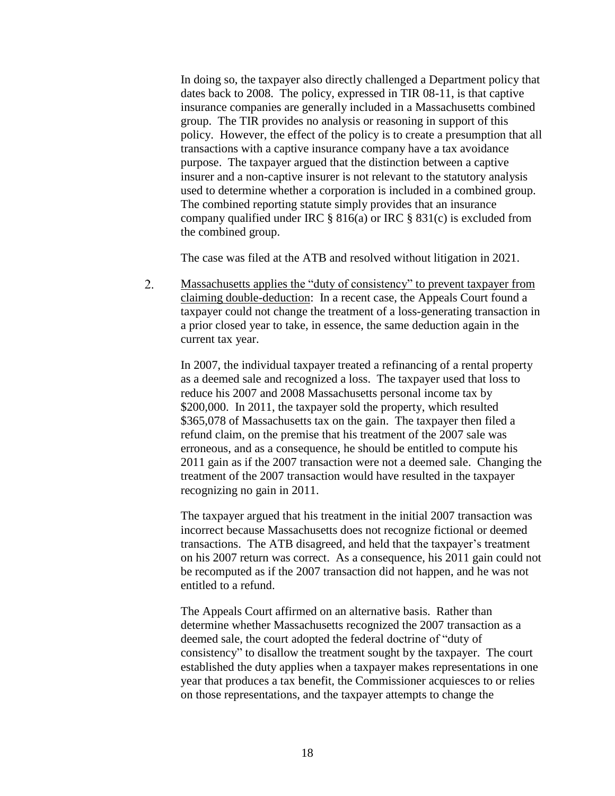In doing so, the taxpayer also directly challenged a Department policy that dates back to 2008. The policy, expressed in TIR 08-11, is that captive insurance companies are generally included in a Massachusetts combined group. The TIR provides no analysis or reasoning in support of this policy. However, the effect of the policy is to create a presumption that all transactions with a captive insurance company have a tax avoidance purpose. The taxpayer argued that the distinction between a captive insurer and a non-captive insurer is not relevant to the statutory analysis used to determine whether a corporation is included in a combined group. The combined reporting statute simply provides that an insurance company qualified under IRC  $\S 816(a)$  or IRC  $\S 831(c)$  is excluded from the combined group.

The case was filed at the ATB and resolved without litigation in 2021.

 $2.$ Massachusetts applies the "duty of consistency" to prevent taxpayer from claiming double-deduction: In a recent case, the Appeals Court found a taxpayer could not change the treatment of a loss-generating transaction in a prior closed year to take, in essence, the same deduction again in the current tax year.

In 2007, the individual taxpayer treated a refinancing of a rental property as a deemed sale and recognized a loss. The taxpayer used that loss to reduce his 2007 and 2008 Massachusetts personal income tax by \$200,000. In 2011, the taxpayer sold the property, which resulted \$365,078 of Massachusetts tax on the gain. The taxpayer then filed a refund claim, on the premise that his treatment of the 2007 sale was erroneous, and as a consequence, he should be entitled to compute his 2011 gain as if the 2007 transaction were not a deemed sale. Changing the treatment of the 2007 transaction would have resulted in the taxpayer recognizing no gain in 2011.

The taxpayer argued that his treatment in the initial 2007 transaction was incorrect because Massachusetts does not recognize fictional or deemed transactions. The ATB disagreed, and held that the taxpayer's treatment on his 2007 return was correct. As a consequence, his 2011 gain could not be recomputed as if the 2007 transaction did not happen, and he was not entitled to a refund.

The Appeals Court affirmed on an alternative basis. Rather than determine whether Massachusetts recognized the 2007 transaction as a deemed sale, the court adopted the federal doctrine of "duty of consistency" to disallow the treatment sought by the taxpayer. The court established the duty applies when a taxpayer makes representations in one year that produces a tax benefit, the Commissioner acquiesces to or relies on those representations, and the taxpayer attempts to change the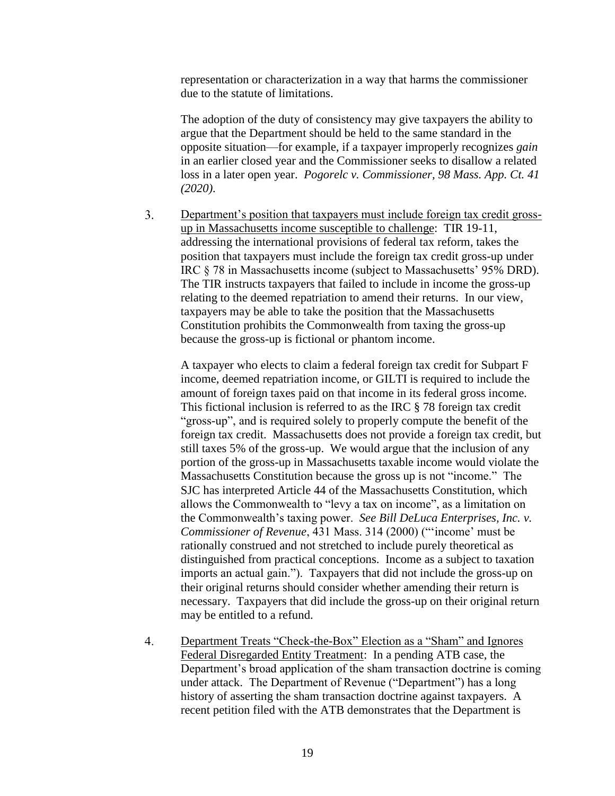representation or characterization in a way that harms the commissioner due to the statute of limitations.

The adoption of the duty of consistency may give taxpayers the ability to argue that the Department should be held to the same standard in the opposite situation—for example, if a taxpayer improperly recognizes *gain* in an earlier closed year and the Commissioner seeks to disallow a related loss in a later open year. *Pogorelc v. Commissioner, 98 Mass. App. Ct. 41 (2020).*

 $3.$ Department's position that taxpayers must include foreign tax credit grossup in Massachusetts income susceptible to challenge: TIR 19-11, addressing the international provisions of federal tax reform, takes the position that taxpayers must include the foreign tax credit gross-up under IRC § 78 in Massachusetts income (subject to Massachusetts' 95% DRD). The TIR instructs taxpayers that failed to include in income the gross-up relating to the deemed repatriation to amend their returns. In our view, taxpayers may be able to take the position that the Massachusetts Constitution prohibits the Commonwealth from taxing the gross-up because the gross-up is fictional or phantom income.

A taxpayer who elects to claim a federal foreign tax credit for Subpart F income, deemed repatriation income, or GILTI is required to include the amount of foreign taxes paid on that income in its federal gross income. This fictional inclusion is referred to as the IRC § 78 foreign tax credit "gross-up", and is required solely to properly compute the benefit of the foreign tax credit. Massachusetts does not provide a foreign tax credit, but still taxes 5% of the gross-up. We would argue that the inclusion of any portion of the gross-up in Massachusetts taxable income would violate the Massachusetts Constitution because the gross up is not "income." The SJC has interpreted Article 44 of the Massachusetts Constitution, which allows the Commonwealth to "levy a tax on income", as a limitation on the Commonwealth's taxing power. *See Bill DeLuca Enterprises, Inc. v. Commissioner of Revenue*, 431 Mass. 314 (2000) ("'income' must be rationally construed and not stretched to include purely theoretical as distinguished from practical conceptions. Income as a subject to taxation imports an actual gain."). Taxpayers that did not include the gross-up on their original returns should consider whether amending their return is necessary. Taxpayers that did include the gross-up on their original return may be entitled to a refund.

 $4.$ Department Treats "Check-the-Box" Election as a "Sham" and Ignores Federal Disregarded Entity Treatment: In a pending ATB case, the Department's broad application of the sham transaction doctrine is coming under attack. The Department of Revenue ("Department") has a long history of asserting the sham transaction doctrine against taxpayers. A recent petition filed with the ATB demonstrates that the Department is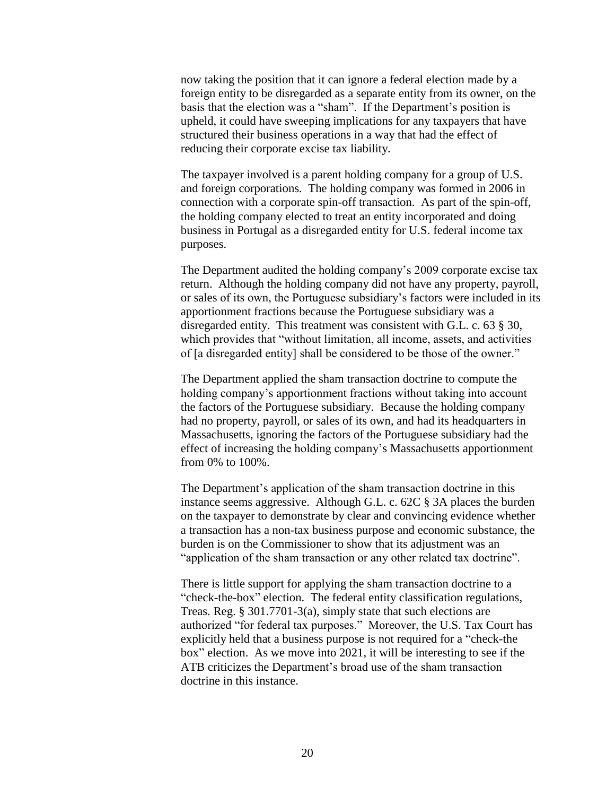now taking the position that it can ignore a federal election made by a foreign entity to be disregarded as a separate entity from its owner, on the basis that the election was a "sham". If the Department's position is upheld, it could have sweeping implications for any taxpayers that have structured their business operations in a way that had the effect of reducing their corporate excise tax liability.

The taxpayer involved is a parent holding company for a group of U.S. and foreign corporations. The holding company was formed in 2006 in connection with a corporate spin-off transaction. As part of the spin-off, the holding company elected to treat an entity incorporated and doing business in Portugal as a disregarded entity for U.S. federal income tax purposes.

The Department audited the holding company's 2009 corporate excise tax return. Although the holding company did not have any property, payroll, or sales of its own, the Portuguese subsidiary's factors were included in its apportionment fractions because the Portuguese subsidiary was a disregarded entity. This treatment was consistent with G.L. c. 63 § 30, which provides that "without limitation, all income, assets, and activities of [a disregarded entity] shall be considered to be those of the owner."

The Department applied the sham transaction doctrine to compute the holding company's apportionment fractions without taking into account the factors of the Portuguese subsidiary. Because the holding company had no property, payroll, or sales of its own, and had its headquarters in Massachusetts, ignoring the factors of the Portuguese subsidiary had the effect of increasing the holding company's Massachusetts apportionment from 0% to 100%.

The Department's application of the sham transaction doctrine in this instance seems aggressive. Although G.L. c. 62C § 3A places the burden on the taxpayer to demonstrate by clear and convincing evidence whether a transaction has a non-tax business purpose and economic substance, the burden is on the Commissioner to show that its adjustment was an "application of the sham transaction or any other related tax doctrine".

There is little support for applying the sham transaction doctrine to a "check-the-box" election. The federal entity classification regulations, Treas. Reg. § 301.7701-3(a), simply state that such elections are authorized "for federal tax purposes." Moreover, the U.S. Tax Court has explicitly held that a business purpose is not required for a "check-the box" election. As we move into 2021, it will be interesting to see if the ATB criticizes the Department's broad use of the sham transaction doctrine in this instance.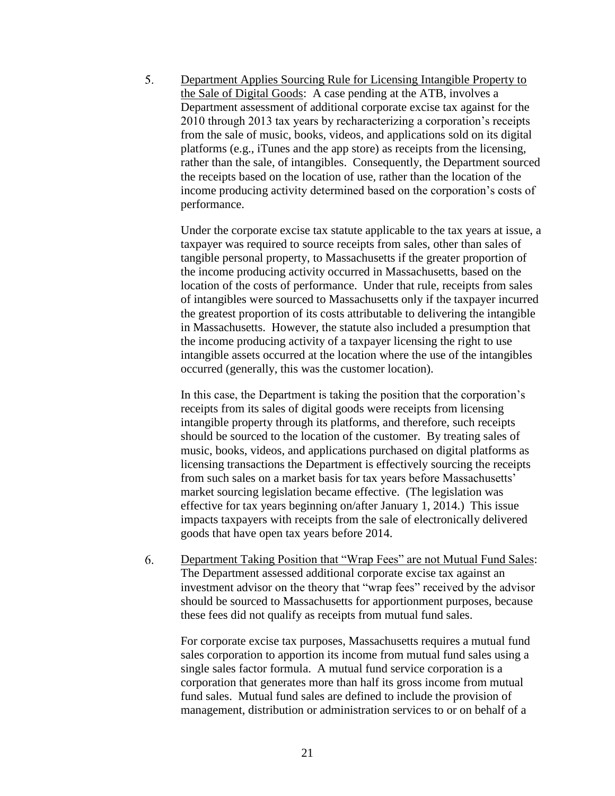$5.$ Department Applies Sourcing Rule for Licensing Intangible Property to the Sale of Digital Goods: A case pending at the ATB, involves a Department assessment of additional corporate excise tax against for the 2010 through 2013 tax years by recharacterizing a corporation's receipts from the sale of music, books, videos, and applications sold on its digital platforms (e.g., iTunes and the app store) as receipts from the licensing, rather than the sale, of intangibles. Consequently, the Department sourced the receipts based on the location of use, rather than the location of the income producing activity determined based on the corporation's costs of performance.

Under the corporate excise tax statute applicable to the tax years at issue, a taxpayer was required to source receipts from sales, other than sales of tangible personal property, to Massachusetts if the greater proportion of the income producing activity occurred in Massachusetts, based on the location of the costs of performance. Under that rule, receipts from sales of intangibles were sourced to Massachusetts only if the taxpayer incurred the greatest proportion of its costs attributable to delivering the intangible in Massachusetts. However, the statute also included a presumption that the income producing activity of a taxpayer licensing the right to use intangible assets occurred at the location where the use of the intangibles occurred (generally, this was the customer location).

In this case, the Department is taking the position that the corporation's receipts from its sales of digital goods were receipts from licensing intangible property through its platforms, and therefore, such receipts should be sourced to the location of the customer. By treating sales of music, books, videos, and applications purchased on digital platforms as licensing transactions the Department is effectively sourcing the receipts from such sales on a market basis for tax years before Massachusetts' market sourcing legislation became effective. (The legislation was effective for tax years beginning on/after January 1, 2014.) This issue impacts taxpayers with receipts from the sale of electronically delivered goods that have open tax years before 2014.

6. Department Taking Position that "Wrap Fees" are not Mutual Fund Sales: The Department assessed additional corporate excise tax against an investment advisor on the theory that "wrap fees" received by the advisor should be sourced to Massachusetts for apportionment purposes, because these fees did not qualify as receipts from mutual fund sales.

For corporate excise tax purposes, Massachusetts requires a mutual fund sales corporation to apportion its income from mutual fund sales using a single sales factor formula. A mutual fund service corporation is a corporation that generates more than half its gross income from mutual fund sales. Mutual fund sales are defined to include the provision of management, distribution or administration services to or on behalf of a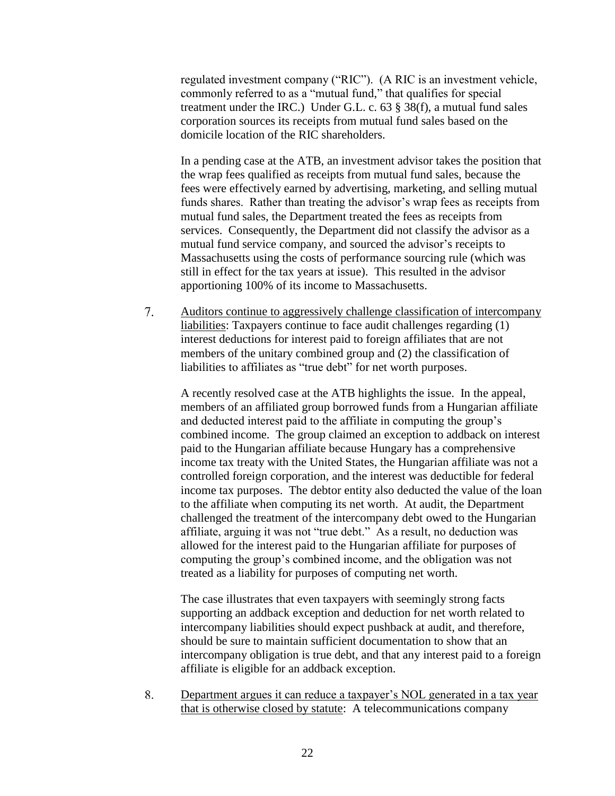regulated investment company ("RIC"). (A RIC is an investment vehicle, commonly referred to as a "mutual fund," that qualifies for special treatment under the IRC.) Under G.L. c. 63 § 38(f), a mutual fund sales corporation sources its receipts from mutual fund sales based on the domicile location of the RIC shareholders.

In a pending case at the ATB, an investment advisor takes the position that the wrap fees qualified as receipts from mutual fund sales, because the fees were effectively earned by advertising, marketing, and selling mutual funds shares. Rather than treating the advisor's wrap fees as receipts from mutual fund sales, the Department treated the fees as receipts from services. Consequently, the Department did not classify the advisor as a mutual fund service company, and sourced the advisor's receipts to Massachusetts using the costs of performance sourcing rule (which was still in effect for the tax years at issue). This resulted in the advisor apportioning 100% of its income to Massachusetts.

 $7.$ Auditors continue to aggressively challenge classification of intercompany liabilities: Taxpayers continue to face audit challenges regarding (1) interest deductions for interest paid to foreign affiliates that are not members of the unitary combined group and (2) the classification of liabilities to affiliates as "true debt" for net worth purposes.

A recently resolved case at the ATB highlights the issue. In the appeal, members of an affiliated group borrowed funds from a Hungarian affiliate and deducted interest paid to the affiliate in computing the group's combined income. The group claimed an exception to addback on interest paid to the Hungarian affiliate because Hungary has a comprehensive income tax treaty with the United States, the Hungarian affiliate was not a controlled foreign corporation, and the interest was deductible for federal income tax purposes. The debtor entity also deducted the value of the loan to the affiliate when computing its net worth. At audit, the Department challenged the treatment of the intercompany debt owed to the Hungarian affiliate, arguing it was not "true debt." As a result, no deduction was allowed for the interest paid to the Hungarian affiliate for purposes of computing the group's combined income, and the obligation was not treated as a liability for purposes of computing net worth.

The case illustrates that even taxpayers with seemingly strong facts supporting an addback exception and deduction for net worth related to intercompany liabilities should expect pushback at audit, and therefore, should be sure to maintain sufficient documentation to show that an intercompany obligation is true debt, and that any interest paid to a foreign affiliate is eligible for an addback exception.

8. Department argues it can reduce a taxpayer's NOL generated in a tax year that is otherwise closed by statute: A telecommunications company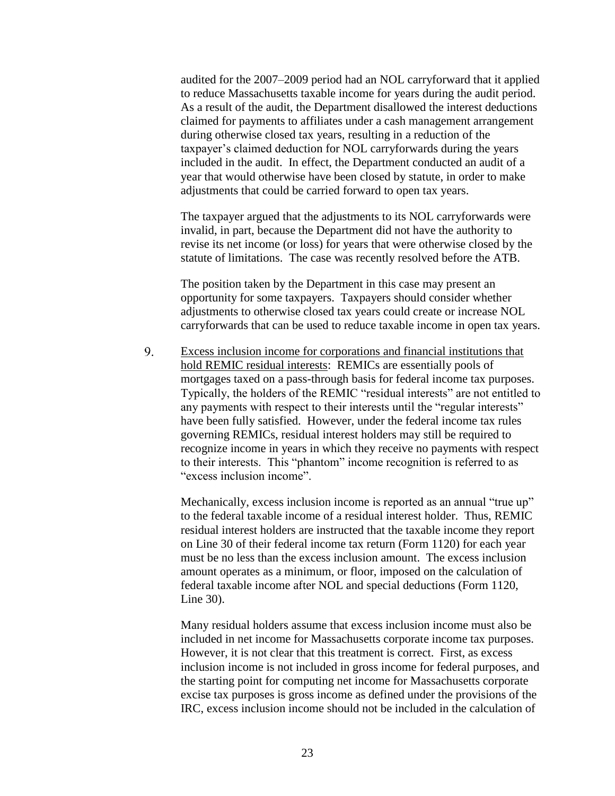audited for the 2007–2009 period had an NOL carryforward that it applied to reduce Massachusetts taxable income for years during the audit period. As a result of the audit, the Department disallowed the interest deductions claimed for payments to affiliates under a cash management arrangement during otherwise closed tax years, resulting in a reduction of the taxpayer's claimed deduction for NOL carryforwards during the years included in the audit. In effect, the Department conducted an audit of a year that would otherwise have been closed by statute, in order to make adjustments that could be carried forward to open tax years.

The taxpayer argued that the adjustments to its NOL carryforwards were invalid, in part, because the Department did not have the authority to revise its net income (or loss) for years that were otherwise closed by the statute of limitations. The case was recently resolved before the ATB.

The position taken by the Department in this case may present an opportunity for some taxpayers. Taxpayers should consider whether adjustments to otherwise closed tax years could create or increase NOL carryforwards that can be used to reduce taxable income in open tax years.

9. Excess inclusion income for corporations and financial institutions that hold REMIC residual interests: REMICs are essentially pools of mortgages taxed on a pass-through basis for federal income tax purposes. Typically, the holders of the REMIC "residual interests" are not entitled to any payments with respect to their interests until the "regular interests" have been fully satisfied. However, under the federal income tax rules governing REMICs, residual interest holders may still be required to recognize income in years in which they receive no payments with respect to their interests. This "phantom" income recognition is referred to as "excess inclusion income".

Mechanically, excess inclusion income is reported as an annual "true up" to the federal taxable income of a residual interest holder. Thus, REMIC residual interest holders are instructed that the taxable income they report on Line 30 of their federal income tax return (Form 1120) for each year must be no less than the excess inclusion amount. The excess inclusion amount operates as a minimum, or floor, imposed on the calculation of federal taxable income after NOL and special deductions (Form 1120, Line 30).

Many residual holders assume that excess inclusion income must also be included in net income for Massachusetts corporate income tax purposes. However, it is not clear that this treatment is correct. First, as excess inclusion income is not included in gross income for federal purposes, and the starting point for computing net income for Massachusetts corporate excise tax purposes is gross income as defined under the provisions of the IRC, excess inclusion income should not be included in the calculation of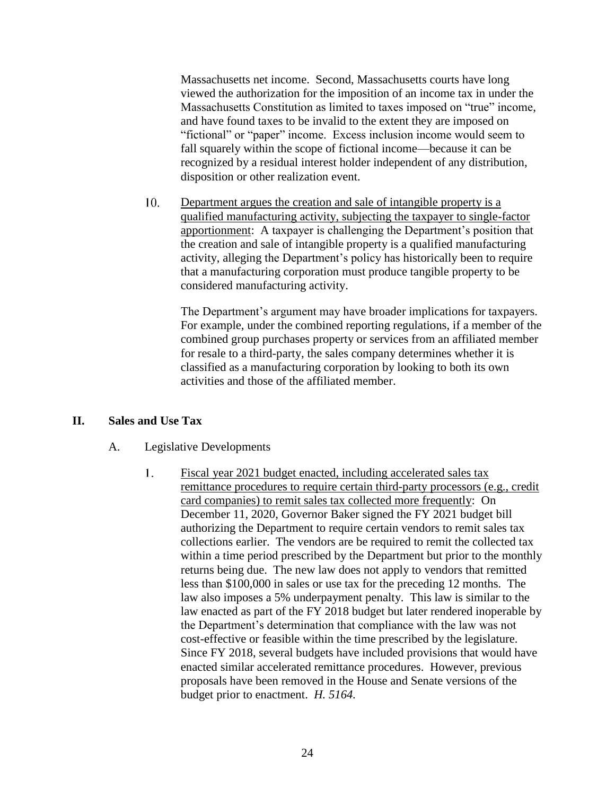Massachusetts net income. Second, Massachusetts courts have long viewed the authorization for the imposition of an income tax in under the Massachusetts Constitution as limited to taxes imposed on "true" income, and have found taxes to be invalid to the extent they are imposed on "fictional" or "paper" income. Excess inclusion income would seem to fall squarely within the scope of fictional income—because it can be recognized by a residual interest holder independent of any distribution, disposition or other realization event.

10. Department argues the creation and sale of intangible property is a qualified manufacturing activity, subjecting the taxpayer to single-factor apportionment: A taxpayer is challenging the Department's position that the creation and sale of intangible property is a qualified manufacturing activity, alleging the Department's policy has historically been to require that a manufacturing corporation must produce tangible property to be considered manufacturing activity.

The Department's argument may have broader implications for taxpayers. For example, under the combined reporting regulations, if a member of the combined group purchases property or services from an affiliated member for resale to a third-party, the sales company determines whether it is classified as a manufacturing corporation by looking to both its own activities and those of the affiliated member.

## **II. Sales and Use Tax**

#### A. Legislative Developments

 $1<sub>1</sub>$ Fiscal year 2021 budget enacted, including accelerated sales tax remittance procedures to require certain third-party processors (e.g., credit card companies) to remit sales tax collected more frequently: On December 11, 2020, Governor Baker signed the FY 2021 budget bill authorizing the Department to require certain vendors to remit sales tax collections earlier. The vendors are be required to remit the collected tax within a time period prescribed by the Department but prior to the monthly returns being due. The new law does not apply to vendors that remitted less than \$100,000 in sales or use tax for the preceding 12 months. The law also imposes a 5% underpayment penalty. This law is similar to the law enacted as part of the FY 2018 budget but later rendered inoperable by the Department's determination that compliance with the law was not cost-effective or feasible within the time prescribed by the legislature. Since FY 2018, several budgets have included provisions that would have enacted similar accelerated remittance procedures. However, previous proposals have been removed in the House and Senate versions of the budget prior to enactment. *H. 5164.*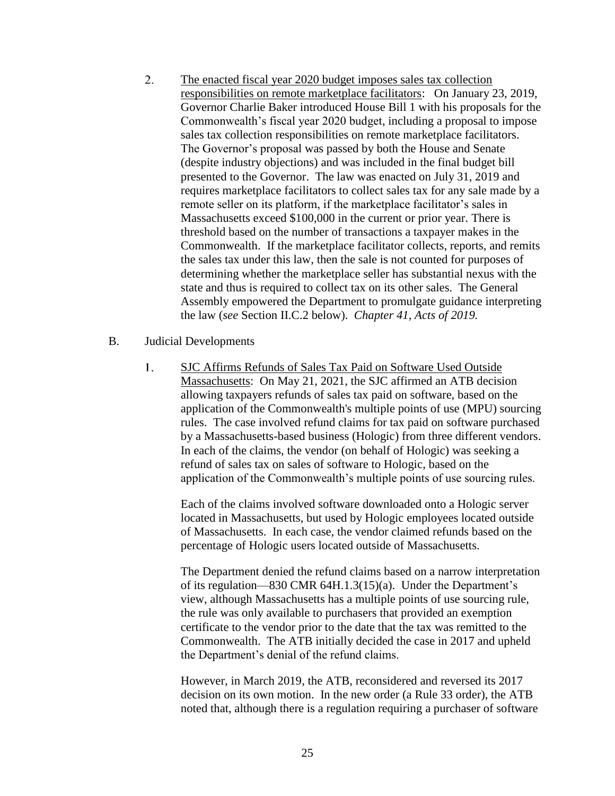- $2.$ The enacted fiscal year 2020 budget imposes sales tax collection responsibilities on remote marketplace facilitators: On January 23, 2019, Governor Charlie Baker introduced House Bill 1 with his proposals for the Commonwealth's fiscal year 2020 budget, including a proposal to impose sales tax collection responsibilities on remote marketplace facilitators. The Governor's proposal was passed by both the House and Senate (despite industry objections) and was included in the final budget bill presented to the Governor. The law was enacted on July 31, 2019 and requires marketplace facilitators to collect sales tax for any sale made by a remote seller on its platform, if the marketplace facilitator's sales in Massachusetts exceed \$100,000 in the current or prior year. There is threshold based on the number of transactions a taxpayer makes in the Commonwealth. If the marketplace facilitator collects, reports, and remits the sales tax under this law, then the sale is not counted for purposes of determining whether the marketplace seller has substantial nexus with the state and thus is required to collect tax on its other sales. The General Assembly empowered the Department to promulgate guidance interpreting the law (*see* Section II.C.2 below). *Chapter 41, Acts of 2019.*
- B. Judicial Developments
	- $1<sub>1</sub>$ SJC Affirms Refunds of Sales Tax Paid on Software Used Outside Massachusetts: On May 21, 2021, the SJC affirmed an ATB decision allowing taxpayers refunds of sales tax paid on software, based on the application of the Commonwealth's multiple points of use (MPU) sourcing rules. The case involved refund claims for tax paid on software purchased by a Massachusetts-based business (Hologic) from three different vendors. In each of the claims, the vendor (on behalf of Hologic) was seeking a refund of sales tax on sales of software to Hologic, based on the application of the Commonwealth's multiple points of use sourcing rules.

Each of the claims involved software downloaded onto a Hologic server located in Massachusetts, but used by Hologic employees located outside of Massachusetts. In each case, the vendor claimed refunds based on the percentage of Hologic users located outside of Massachusetts.

The Department denied the refund claims based on a narrow interpretation of its regulation—830 CMR 64H.1.3(15)(a). Under the Department's view, although Massachusetts has a multiple points of use sourcing rule, the rule was only available to purchasers that provided an exemption certificate to the vendor prior to the date that the tax was remitted to the Commonwealth. The ATB initially decided the case in 2017 and upheld the Department's denial of the refund claims.

However, in March 2019, the ATB, reconsidered and reversed its 2017 decision on its own motion. In the new order (a Rule 33 order), the ATB noted that, although there is a regulation requiring a purchaser of software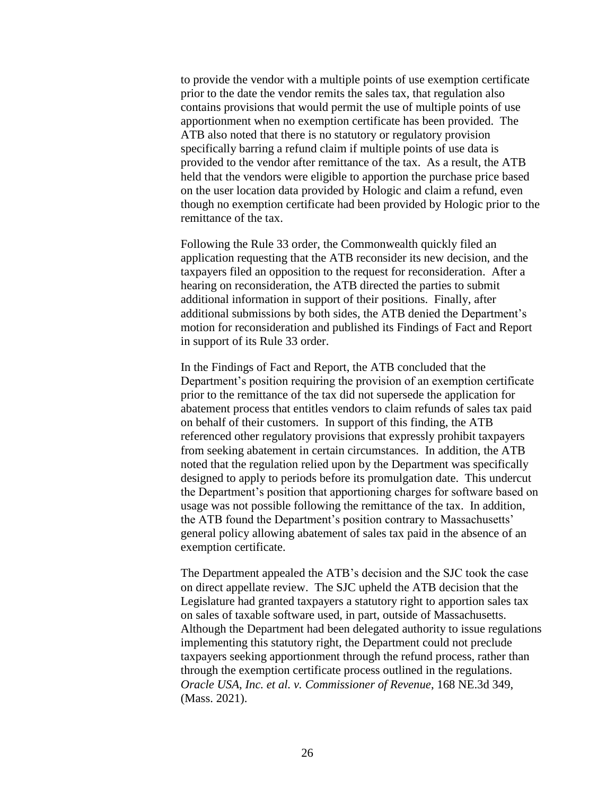to provide the vendor with a multiple points of use exemption certificate prior to the date the vendor remits the sales tax, that regulation also contains provisions that would permit the use of multiple points of use apportionment when no exemption certificate has been provided. The ATB also noted that there is no statutory or regulatory provision specifically barring a refund claim if multiple points of use data is provided to the vendor after remittance of the tax. As a result, the ATB held that the vendors were eligible to apportion the purchase price based on the user location data provided by Hologic and claim a refund, even though no exemption certificate had been provided by Hologic prior to the remittance of the tax.

Following the Rule 33 order, the Commonwealth quickly filed an application requesting that the ATB reconsider its new decision, and the taxpayers filed an opposition to the request for reconsideration. After a hearing on reconsideration, the ATB directed the parties to submit additional information in support of their positions. Finally, after additional submissions by both sides, the ATB denied the Department's motion for reconsideration and published its Findings of Fact and Report in support of its Rule 33 order.

In the Findings of Fact and Report, the ATB concluded that the Department's position requiring the provision of an exemption certificate prior to the remittance of the tax did not supersede the application for abatement process that entitles vendors to claim refunds of sales tax paid on behalf of their customers. In support of this finding, the ATB referenced other regulatory provisions that expressly prohibit taxpayers from seeking abatement in certain circumstances. In addition, the ATB noted that the regulation relied upon by the Department was specifically designed to apply to periods before its promulgation date. This undercut the Department's position that apportioning charges for software based on usage was not possible following the remittance of the tax. In addition, the ATB found the Department's position contrary to Massachusetts' general policy allowing abatement of sales tax paid in the absence of an exemption certificate.

The Department appealed the ATB's decision and the SJC took the case on direct appellate review. The SJC upheld the ATB decision that the Legislature had granted taxpayers a statutory right to apportion sales tax on sales of taxable software used, in part, outside of Massachusetts. Although the Department had been delegated authority to issue regulations implementing this statutory right, the Department could not preclude taxpayers seeking apportionment through the refund process, rather than through the exemption certificate process outlined in the regulations. *Oracle USA, Inc. et al. v. Commissioner of Revenue*, 168 NE.3d 349, (Mass. 2021).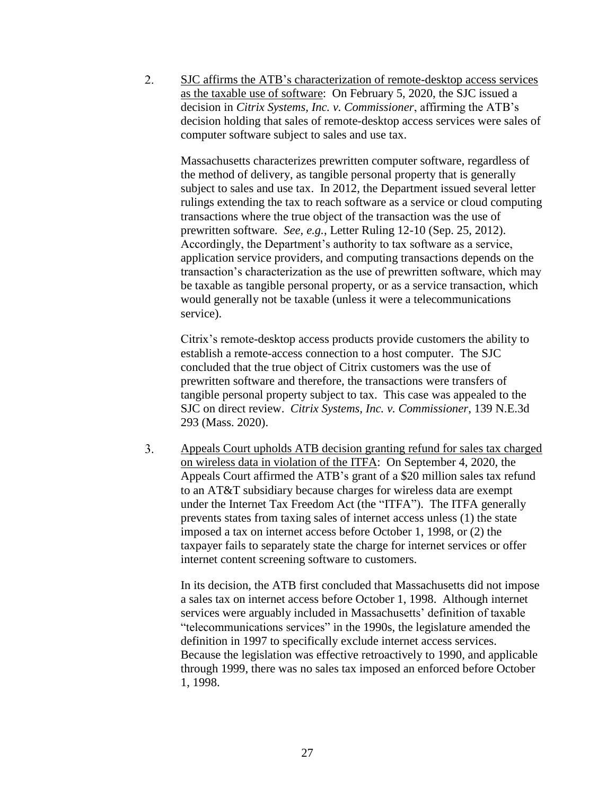$2.$ SJC affirms the ATB's characterization of remote-desktop access services as the taxable use of software: On February 5, 2020, the SJC issued a decision in *Citrix Systems, Inc. v. Commissioner*, affirming the ATB's decision holding that sales of remote-desktop access services were sales of computer software subject to sales and use tax.

Massachusetts characterizes prewritten computer software, regardless of the method of delivery, as tangible personal property that is generally subject to sales and use tax. In 2012, the Department issued several letter rulings extending the tax to reach software as a service or cloud computing transactions where the true object of the transaction was the use of prewritten software. *See, e.g.*, Letter Ruling 12-10 (Sep. 25, 2012). Accordingly, the Department's authority to tax software as a service, application service providers, and computing transactions depends on the transaction's characterization as the use of prewritten software, which may be taxable as tangible personal property, or as a service transaction, which would generally not be taxable (unless it were a telecommunications service).

Citrix's remote-desktop access products provide customers the ability to establish a remote-access connection to a host computer. The SJC concluded that the true object of Citrix customers was the use of prewritten software and therefore, the transactions were transfers of tangible personal property subject to tax. This case was appealed to the SJC on direct review. *Citrix Systems, Inc. v. Commissioner*, 139 N.E.3d 293 (Mass. 2020).

 $3.$ Appeals Court upholds ATB decision granting refund for sales tax charged on wireless data in violation of the ITFA: On September 4, 2020, the Appeals Court affirmed the ATB's grant of a \$20 million sales tax refund to an AT&T subsidiary because charges for wireless data are exempt under the Internet Tax Freedom Act (the "ITFA"). The ITFA generally prevents states from taxing sales of internet access unless (1) the state imposed a tax on internet access before October 1, 1998, or (2) the taxpayer fails to separately state the charge for internet services or offer internet content screening software to customers.

In its decision, the ATB first concluded that Massachusetts did not impose a sales tax on internet access before October 1, 1998. Although internet services were arguably included in Massachusetts' definition of taxable "telecommunications services" in the 1990s, the legislature amended the definition in 1997 to specifically exclude internet access services. Because the legislation was effective retroactively to 1990, and applicable through 1999, there was no sales tax imposed an enforced before October 1, 1998.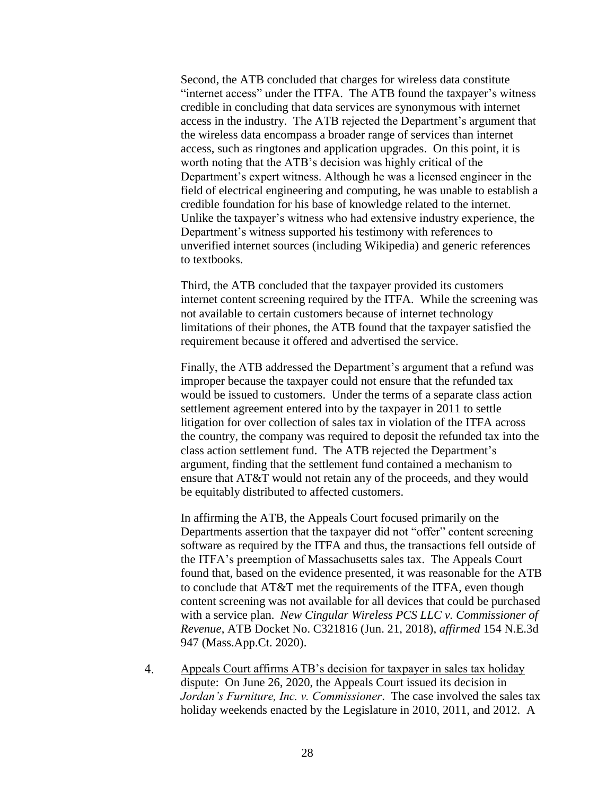Second, the ATB concluded that charges for wireless data constitute "internet access" under the ITFA. The ATB found the taxpayer's witness credible in concluding that data services are synonymous with internet access in the industry. The ATB rejected the Department's argument that the wireless data encompass a broader range of services than internet access, such as ringtones and application upgrades. On this point, it is worth noting that the ATB's decision was highly critical of the Department's expert witness. Although he was a licensed engineer in the field of electrical engineering and computing, he was unable to establish a credible foundation for his base of knowledge related to the internet. Unlike the taxpayer's witness who had extensive industry experience, the Department's witness supported his testimony with references to unverified internet sources (including Wikipedia) and generic references to textbooks.

Third, the ATB concluded that the taxpayer provided its customers internet content screening required by the ITFA. While the screening was not available to certain customers because of internet technology limitations of their phones, the ATB found that the taxpayer satisfied the requirement because it offered and advertised the service.

Finally, the ATB addressed the Department's argument that a refund was improper because the taxpayer could not ensure that the refunded tax would be issued to customers. Under the terms of a separate class action settlement agreement entered into by the taxpayer in 2011 to settle litigation for over collection of sales tax in violation of the ITFA across the country, the company was required to deposit the refunded tax into the class action settlement fund. The ATB rejected the Department's argument, finding that the settlement fund contained a mechanism to ensure that AT&T would not retain any of the proceeds, and they would be equitably distributed to affected customers.

In affirming the ATB, the Appeals Court focused primarily on the Departments assertion that the taxpayer did not "offer" content screening software as required by the ITFA and thus, the transactions fell outside of the ITFA's preemption of Massachusetts sales tax. The Appeals Court found that, based on the evidence presented, it was reasonable for the ATB to conclude that AT&T met the requirements of the ITFA, even though content screening was not available for all devices that could be purchased with a service plan. *New Cingular Wireless PCS LLC v. Commissioner of Revenue*, ATB Docket No. C321816 (Jun. 21, 2018), *affirmed* 154 N.E.3d 947 (Mass.App.Ct. 2020).

 $4.$ Appeals Court affirms ATB's decision for taxpayer in sales tax holiday dispute: On June 26, 2020, the Appeals Court issued its decision in *Jordan's Furniture, Inc. v. Commissioner*. The case involved the sales tax holiday weekends enacted by the Legislature in 2010, 2011, and 2012. A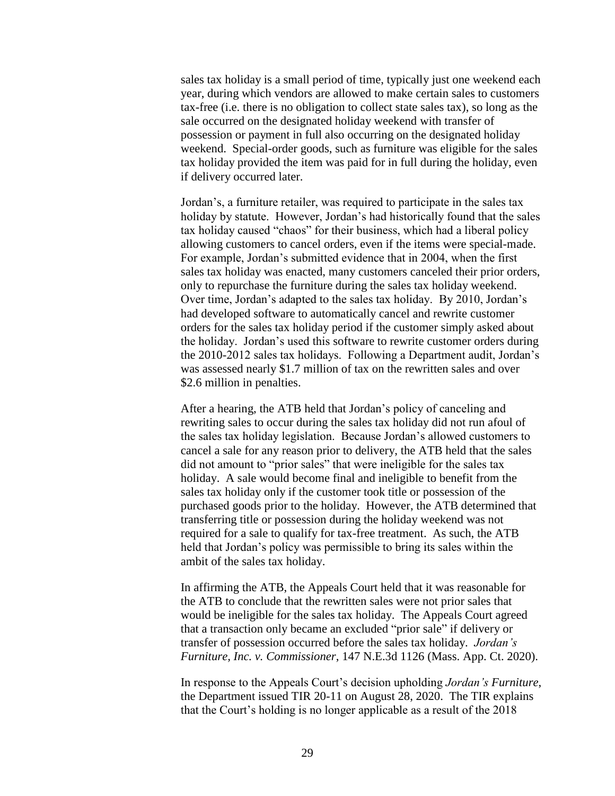sales tax holiday is a small period of time, typically just one weekend each year, during which vendors are allowed to make certain sales to customers tax-free (i.e. there is no obligation to collect state sales tax), so long as the sale occurred on the designated holiday weekend with transfer of possession or payment in full also occurring on the designated holiday weekend. Special-order goods, such as furniture was eligible for the sales tax holiday provided the item was paid for in full during the holiday, even if delivery occurred later.

Jordan's, a furniture retailer, was required to participate in the sales tax holiday by statute. However, Jordan's had historically found that the sales tax holiday caused "chaos" for their business, which had a liberal policy allowing customers to cancel orders, even if the items were special-made. For example, Jordan's submitted evidence that in 2004, when the first sales tax holiday was enacted, many customers canceled their prior orders, only to repurchase the furniture during the sales tax holiday weekend. Over time, Jordan's adapted to the sales tax holiday. By 2010, Jordan's had developed software to automatically cancel and rewrite customer orders for the sales tax holiday period if the customer simply asked about the holiday. Jordan's used this software to rewrite customer orders during the 2010-2012 sales tax holidays. Following a Department audit, Jordan's was assessed nearly \$1.7 million of tax on the rewritten sales and over \$2.6 million in penalties.

After a hearing, the ATB held that Jordan's policy of canceling and rewriting sales to occur during the sales tax holiday did not run afoul of the sales tax holiday legislation. Because Jordan's allowed customers to cancel a sale for any reason prior to delivery, the ATB held that the sales did not amount to "prior sales" that were ineligible for the sales tax holiday. A sale would become final and ineligible to benefit from the sales tax holiday only if the customer took title or possession of the purchased goods prior to the holiday. However, the ATB determined that transferring title or possession during the holiday weekend was not required for a sale to qualify for tax-free treatment. As such, the ATB held that Jordan's policy was permissible to bring its sales within the ambit of the sales tax holiday.

In affirming the ATB, the Appeals Court held that it was reasonable for the ATB to conclude that the rewritten sales were not prior sales that would be ineligible for the sales tax holiday. The Appeals Court agreed that a transaction only became an excluded "prior sale" if delivery or transfer of possession occurred before the sales tax holiday. *Jordan's Furniture, Inc. v. Commissioner*, 147 N.E.3d 1126 (Mass. App. Ct. 2020).

In response to the Appeals Court's decision upholding *Jordan's Furniture*, the Department issued TIR 20-11 on August 28, 2020. The TIR explains that the Court's holding is no longer applicable as a result of the 2018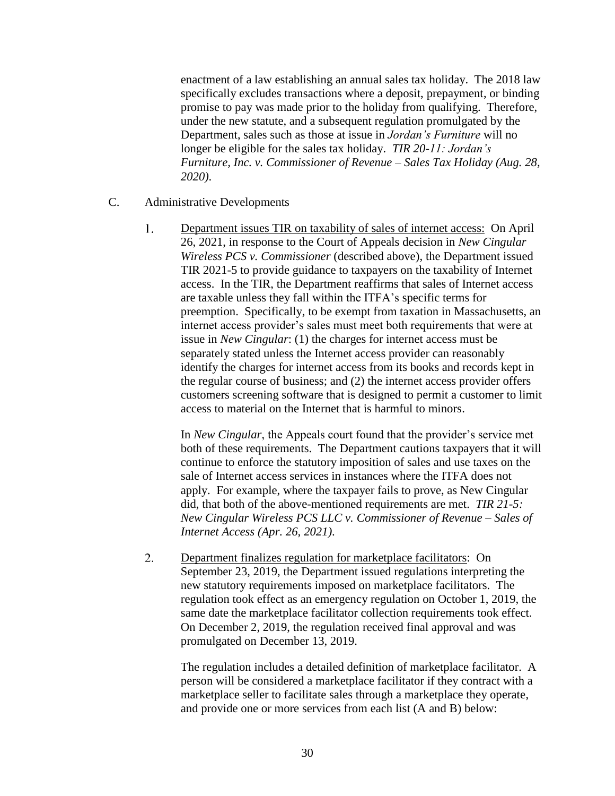enactment of a law establishing an annual sales tax holiday. The 2018 law specifically excludes transactions where a deposit, prepayment, or binding promise to pay was made prior to the holiday from qualifying. Therefore, under the new statute, and a subsequent regulation promulgated by the Department, sales such as those at issue in *Jordan's Furniture* will no longer be eligible for the sales tax holiday. *TIR 20-11: Jordan's Furniture, Inc. v. Commissioner of Revenue – Sales Tax Holiday (Aug. 28, 2020)*.

- C. Administrative Developments
	- $1<sup>1</sup>$ Department issues TIR on taxability of sales of internet access: On April 26, 2021, in response to the Court of Appeals decision in *New Cingular Wireless PCS v. Commissioner* (described above), the Department issued TIR 2021-5 to provide guidance to taxpayers on the taxability of Internet access. In the TIR, the Department reaffirms that sales of Internet access are taxable unless they fall within the ITFA's specific terms for preemption. Specifically, to be exempt from taxation in Massachusetts, an internet access provider's sales must meet both requirements that were at issue in *New Cingular*: (1) the charges for internet access must be separately stated unless the Internet access provider can reasonably identify the charges for internet access from its books and records kept in the regular course of business; and (2) the internet access provider offers customers screening software that is designed to permit a customer to limit access to material on the Internet that is harmful to minors.

In *New Cingular*, the Appeals court found that the provider's service met both of these requirements. The Department cautions taxpayers that it will continue to enforce the statutory imposition of sales and use taxes on the sale of Internet access services in instances where the ITFA does not apply. For example, where the taxpayer fails to prove, as New Cingular did, that both of the above-mentioned requirements are met. *TIR 21-5: New Cingular Wireless PCS LLC v. Commissioner of Revenue – Sales of Internet Access (Apr. 26, 2021)*.

 $2.$ Department finalizes regulation for marketplace facilitators: On September 23, 2019, the Department issued regulations interpreting the new statutory requirements imposed on marketplace facilitators. The regulation took effect as an emergency regulation on October 1, 2019, the same date the marketplace facilitator collection requirements took effect. On December 2, 2019, the regulation received final approval and was promulgated on December 13, 2019.

The regulation includes a detailed definition of marketplace facilitator. A person will be considered a marketplace facilitator if they contract with a marketplace seller to facilitate sales through a marketplace they operate, and provide one or more services from each list (A and B) below: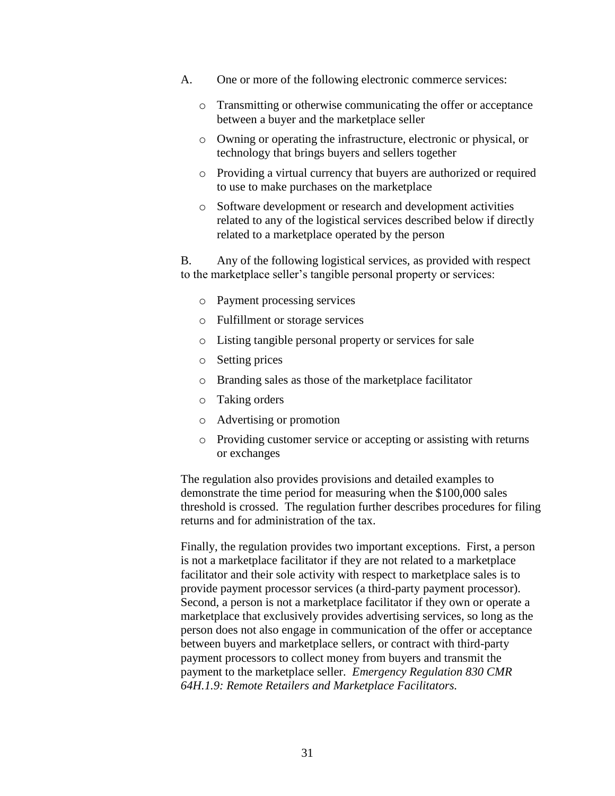- A. One or more of the following electronic commerce services:
	- o Transmitting or otherwise communicating the offer or acceptance between a buyer and the marketplace seller
	- o Owning or operating the infrastructure, electronic or physical, or technology that brings buyers and sellers together
	- o Providing a virtual currency that buyers are authorized or required to use to make purchases on the marketplace
	- o Software development or research and development activities related to any of the logistical services described below if directly related to a marketplace operated by the person

B. Any of the following logistical services, as provided with respect to the marketplace seller's tangible personal property or services:

- o Payment processing services
- o Fulfillment or storage services
- o Listing tangible personal property or services for sale
- o Setting prices
- o Branding sales as those of the marketplace facilitator
- o Taking orders
- o Advertising or promotion
- o Providing customer service or accepting or assisting with returns or exchanges

The regulation also provides provisions and detailed examples to demonstrate the time period for measuring when the \$100,000 sales threshold is crossed. The regulation further describes procedures for filing returns and for administration of the tax.

Finally, the regulation provides two important exceptions. First, a person is not a marketplace facilitator if they are not related to a marketplace facilitator and their sole activity with respect to marketplace sales is to provide payment processor services (a third-party payment processor). Second, a person is not a marketplace facilitator if they own or operate a marketplace that exclusively provides advertising services, so long as the person does not also engage in communication of the offer or acceptance between buyers and marketplace sellers, or contract with third-party payment processors to collect money from buyers and transmit the payment to the marketplace seller. *Emergency Regulation 830 CMR 64H.1.9: Remote Retailers and Marketplace Facilitators.*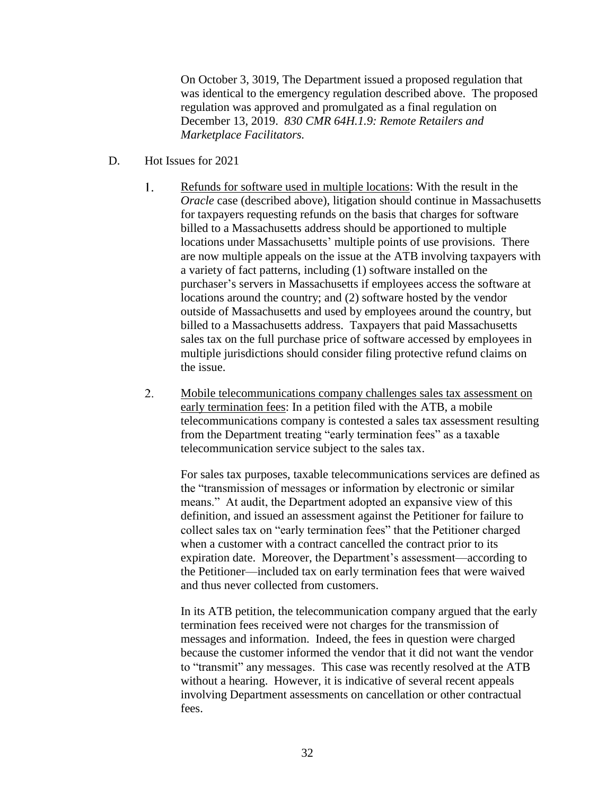On October 3, 3019, The Department issued a proposed regulation that was identical to the emergency regulation described above. The proposed regulation was approved and promulgated as a final regulation on December 13, 2019. *830 CMR 64H.1.9: Remote Retailers and Marketplace Facilitators.*

- D. Hot Issues for 2021
	- Refunds for software used in multiple locations: With the result in the 1. *Oracle* case (described above), litigation should continue in Massachusetts for taxpayers requesting refunds on the basis that charges for software billed to a Massachusetts address should be apportioned to multiple locations under Massachusetts' multiple points of use provisions. There are now multiple appeals on the issue at the ATB involving taxpayers with a variety of fact patterns, including (1) software installed on the purchaser's servers in Massachusetts if employees access the software at locations around the country; and (2) software hosted by the vendor outside of Massachusetts and used by employees around the country, but billed to a Massachusetts address. Taxpayers that paid Massachusetts sales tax on the full purchase price of software accessed by employees in multiple jurisdictions should consider filing protective refund claims on the issue.
	- 2. Mobile telecommunications company challenges sales tax assessment on early termination fees: In a petition filed with the ATB, a mobile telecommunications company is contested a sales tax assessment resulting from the Department treating "early termination fees" as a taxable telecommunication service subject to the sales tax.

For sales tax purposes, taxable telecommunications services are defined as the "transmission of messages or information by electronic or similar means." At audit, the Department adopted an expansive view of this definition, and issued an assessment against the Petitioner for failure to collect sales tax on "early termination fees" that the Petitioner charged when a customer with a contract cancelled the contract prior to its expiration date. Moreover, the Department's assessment—according to the Petitioner—included tax on early termination fees that were waived and thus never collected from customers.

In its ATB petition, the telecommunication company argued that the early termination fees received were not charges for the transmission of messages and information. Indeed, the fees in question were charged because the customer informed the vendor that it did not want the vendor to "transmit" any messages. This case was recently resolved at the ATB without a hearing. However, it is indicative of several recent appeals involving Department assessments on cancellation or other contractual fees.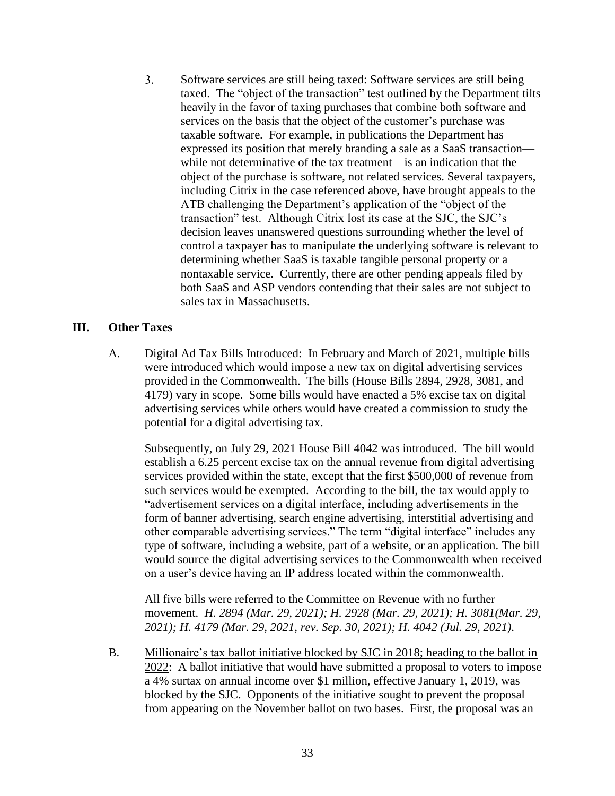$3<sub>1</sub>$ Software services are still being taxed: Software services are still being taxed. The "object of the transaction" test outlined by the Department tilts heavily in the favor of taxing purchases that combine both software and services on the basis that the object of the customer's purchase was taxable software. For example, in publications the Department has expressed its position that merely branding a sale as a SaaS transaction while not determinative of the tax treatment—is an indication that the object of the purchase is software, not related services. Several taxpayers, including Citrix in the case referenced above, have brought appeals to the ATB challenging the Department's application of the "object of the transaction" test. Although Citrix lost its case at the SJC, the SJC's decision leaves unanswered questions surrounding whether the level of control a taxpayer has to manipulate the underlying software is relevant to determining whether SaaS is taxable tangible personal property or a nontaxable service. Currently, there are other pending appeals filed by both SaaS and ASP vendors contending that their sales are not subject to sales tax in Massachusetts.

# **III. Other Taxes**

A. Digital Ad Tax Bills Introduced: In February and March of 2021, multiple bills were introduced which would impose a new tax on digital advertising services provided in the Commonwealth. The bills (House Bills 2894, 2928, 3081, and 4179) vary in scope. Some bills would have enacted a 5% excise tax on digital advertising services while others would have created a commission to study the potential for a digital advertising tax.

Subsequently, on July 29, 2021 House Bill 4042 was introduced. The bill would establish a 6.25 percent excise tax on the annual revenue from digital advertising services provided within the state, except that the first \$500,000 of revenue from such services would be exempted. According to the bill, the tax would apply to "advertisement services on a digital interface, including advertisements in the form of banner advertising, search engine advertising, interstitial advertising and other comparable advertising services." The term "digital interface" includes any type of software, including a website, part of a website, or an application. The bill would source the digital advertising services to the Commonwealth when received on a user's device having an IP address located within the commonwealth.

All five bills were referred to the Committee on Revenue with no further movement. *H. 2894 (Mar. 29, 2021); H. 2928 (Mar. 29, 2021); H. 3081(Mar. 29, 2021); H. 4179 (Mar. 29, 2021, rev. Sep. 30, 2021); H. 4042 (Jul. 29, 2021)*.

B. Millionaire's tax ballot initiative blocked by SJC in 2018; heading to the ballot in 2022: A ballot initiative that would have submitted a proposal to voters to impose a 4% surtax on annual income over \$1 million, effective January 1, 2019, was blocked by the SJC. Opponents of the initiative sought to prevent the proposal from appearing on the November ballot on two bases. First, the proposal was an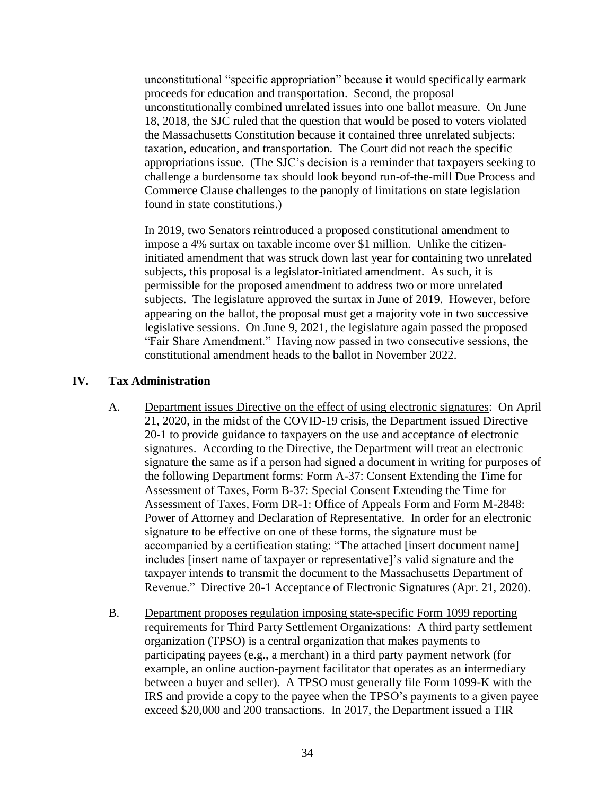unconstitutional "specific appropriation" because it would specifically earmark proceeds for education and transportation. Second, the proposal unconstitutionally combined unrelated issues into one ballot measure. On June 18, 2018, the SJC ruled that the question that would be posed to voters violated the Massachusetts Constitution because it contained three unrelated subjects: taxation, education, and transportation. The Court did not reach the specific appropriations issue. (The SJC's decision is a reminder that taxpayers seeking to challenge a burdensome tax should look beyond run-of-the-mill Due Process and Commerce Clause challenges to the panoply of limitations on state legislation found in state constitutions.)

In 2019, two Senators reintroduced a proposed constitutional amendment to impose a 4% surtax on taxable income over \$1 million. Unlike the citizeninitiated amendment that was struck down last year for containing two unrelated subjects, this proposal is a legislator-initiated amendment. As such, it is permissible for the proposed amendment to address two or more unrelated subjects. The legislature approved the surtax in June of 2019. However, before appearing on the ballot, the proposal must get a majority vote in two successive legislative sessions. On June 9, 2021, the legislature again passed the proposed "Fair Share Amendment." Having now passed in two consecutive sessions, the constitutional amendment heads to the ballot in November 2022.

# **IV. Tax Administration**

- A. Department issues Directive on the effect of using electronic signatures: On April 21, 2020, in the midst of the COVID-19 crisis, the Department issued Directive 20-1 to provide guidance to taxpayers on the use and acceptance of electronic signatures. According to the Directive, the Department will treat an electronic signature the same as if a person had signed a document in writing for purposes of the following Department forms: Form A-37: Consent Extending the Time for Assessment of Taxes, Form B-37: Special Consent Extending the Time for Assessment of Taxes, Form DR-1: Office of Appeals Form and Form M-2848: Power of Attorney and Declaration of Representative. In order for an electronic signature to be effective on one of these forms, the signature must be accompanied by a certification stating: "The attached [insert document name] includes [insert name of taxpayer or representative]'s valid signature and the taxpayer intends to transmit the document to the Massachusetts Department of Revenue." Directive 20-1 Acceptance of Electronic Signatures (Apr. 21, 2020).
- B. Department proposes regulation imposing state-specific Form 1099 reporting requirements for Third Party Settlement Organizations: A third party settlement organization (TPSO) is a central organization that makes payments to participating payees (e.g., a merchant) in a third party payment network (for example, an online auction-payment facilitator that operates as an intermediary between a buyer and seller). A TPSO must generally file Form 1099-K with the IRS and provide a copy to the payee when the TPSO's payments to a given payee exceed \$20,000 and 200 transactions. In 2017, the Department issued a TIR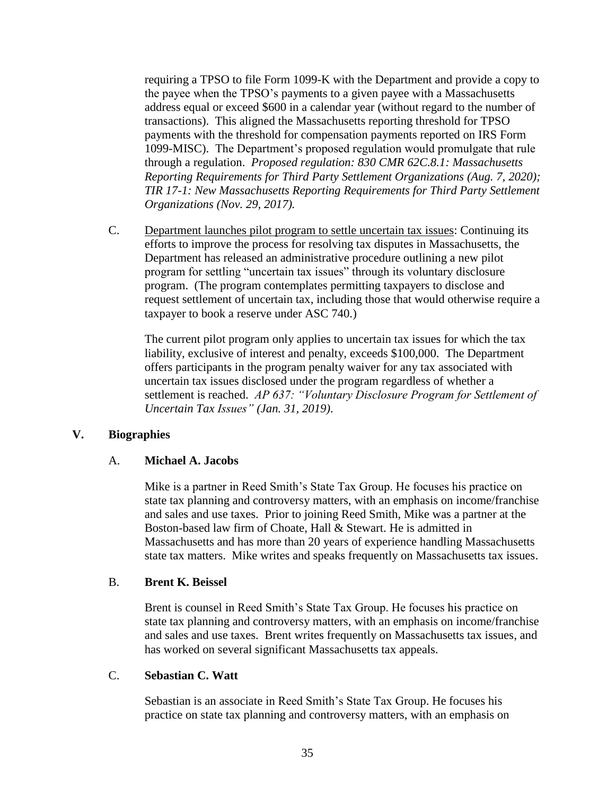requiring a TPSO to file Form 1099-K with the Department and provide a copy to the payee when the TPSO's payments to a given payee with a Massachusetts address equal or exceed \$600 in a calendar year (without regard to the number of transactions). This aligned the Massachusetts reporting threshold for TPSO payments with the threshold for compensation payments reported on IRS Form 1099-MISC). The Department's proposed regulation would promulgate that rule through a regulation. *Proposed regulation: 830 CMR 62C.8.1: Massachusetts Reporting Requirements for Third Party Settlement Organizations (Aug. 7, 2020); TIR 17-1: New Massachusetts Reporting Requirements for Third Party Settlement Organizations (Nov. 29, 2017).*

C. Department launches pilot program to settle uncertain tax issues: Continuing its efforts to improve the process for resolving tax disputes in Massachusetts, the Department has released an administrative procedure outlining a new pilot program for settling "uncertain tax issues" through its voluntary disclosure program. (The program contemplates permitting taxpayers to disclose and request settlement of uncertain tax, including those that would otherwise require a taxpayer to book a reserve under ASC 740.)

The current pilot program only applies to uncertain tax issues for which the tax liability, exclusive of interest and penalty, exceeds \$100,000. The Department offers participants in the program penalty waiver for any tax associated with uncertain tax issues disclosed under the program regardless of whether a settlement is reached. *AP 637: "Voluntary Disclosure Program for Settlement of Uncertain Tax Issues" (Jan. 31, 2019)*.

## **V. Biographies**

## A. **Michael A. Jacobs**

Mike is a partner in Reed Smith's State Tax Group. He focuses his practice on state tax planning and controversy matters, with an emphasis on income/franchise and sales and use taxes. Prior to joining Reed Smith, Mike was a partner at the Boston-based law firm of Choate, Hall & Stewart. He is admitted in Massachusetts and has more than 20 years of experience handling Massachusetts state tax matters. Mike writes and speaks frequently on Massachusetts tax issues.

## B. **Brent K. Beissel**

Brent is counsel in Reed Smith's State Tax Group. He focuses his practice on state tax planning and controversy matters, with an emphasis on income/franchise and sales and use taxes. Brent writes frequently on Massachusetts tax issues, and has worked on several significant Massachusetts tax appeals.

## C. **Sebastian C. Watt**

Sebastian is an associate in Reed Smith's State Tax Group. He focuses his practice on state tax planning and controversy matters, with an emphasis on